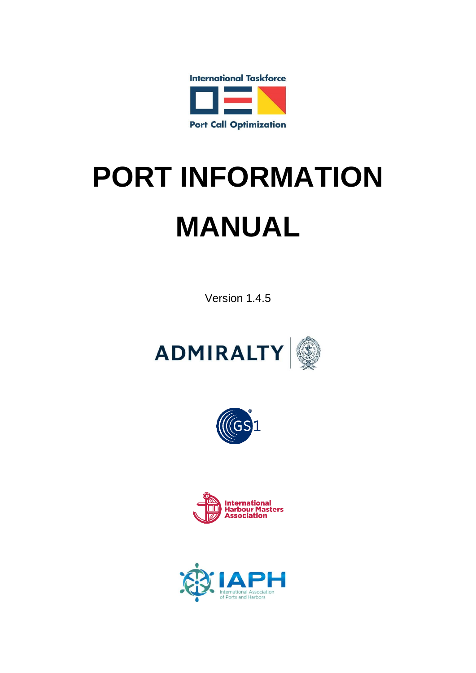

# **PORT INFORMATION MANUAL**

Version 1.4.5







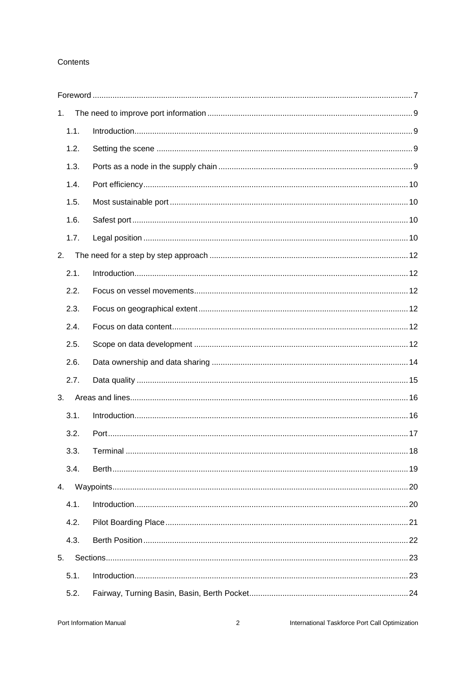#### Contents

| 1.   |  |
|------|--|
| 1.1. |  |
| 1.2. |  |
| 1.3. |  |
| 1.4. |  |
| 1.5. |  |
| 1.6. |  |
| 1.7. |  |
| 2.   |  |
| 2.1. |  |
| 2.2. |  |
| 2.3. |  |
| 2.4. |  |
| 2.5. |  |
| 2.6. |  |
| 2.7. |  |
| 3.   |  |
| 3.1. |  |
| 3.2. |  |
| 3.3. |  |
| 3.4. |  |
| 4.   |  |
| 4.1. |  |
| 4.2. |  |
| 4.3. |  |
| 5.   |  |
| 5.1. |  |
| 5.2. |  |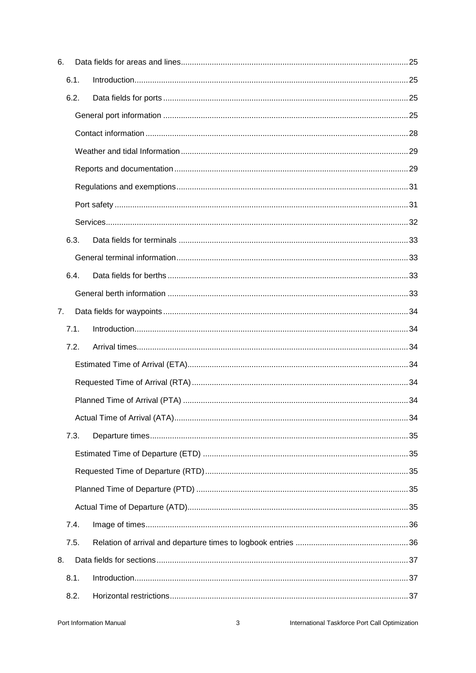| 6. |      |  |
|----|------|--|
|    | 6.1. |  |
|    | 6.2. |  |
|    |      |  |
|    |      |  |
|    |      |  |
|    |      |  |
|    |      |  |
|    |      |  |
|    |      |  |
|    | 6.3. |  |
|    |      |  |
|    | 6.4. |  |
|    |      |  |
| 7. |      |  |
|    | 7.1. |  |
|    | 7.2. |  |
|    |      |  |
|    |      |  |
|    |      |  |
|    |      |  |
|    | 7.3. |  |
|    |      |  |
|    |      |  |
|    |      |  |
|    |      |  |
|    | 7.4. |  |
|    | 7.5. |  |
| 8. |      |  |
|    | 8.1. |  |
|    | 8.2. |  |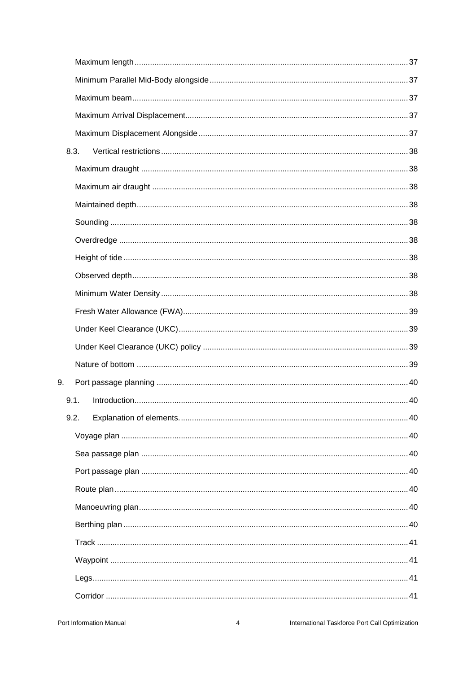| 8.3. |  |
|------|--|
|      |  |
|      |  |
|      |  |
|      |  |
|      |  |
|      |  |
|      |  |
|      |  |
|      |  |
|      |  |
|      |  |
|      |  |
| 9.   |  |
| 9.1. |  |
| 9.2. |  |
|      |  |
|      |  |
|      |  |
|      |  |
|      |  |
|      |  |
|      |  |
|      |  |
|      |  |
|      |  |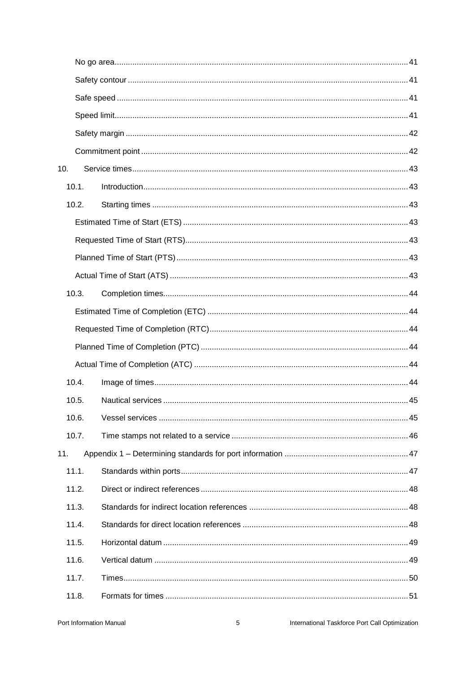| 10. |       |  |
|-----|-------|--|
|     | 10.1. |  |
|     | 10.2. |  |
|     |       |  |
|     |       |  |
|     |       |  |
|     |       |  |
|     | 10.3. |  |
|     |       |  |
|     |       |  |
|     |       |  |
|     |       |  |
|     | 10.4. |  |
|     | 10.5. |  |
|     | 10.6. |  |
|     | 10.7. |  |
| 11. |       |  |
|     | 11.1. |  |
|     | 11.2. |  |
|     | 11.3. |  |
|     | 11.4. |  |
|     | 11.5. |  |
|     | 11.6. |  |
|     | 11.7. |  |
|     | 11.8. |  |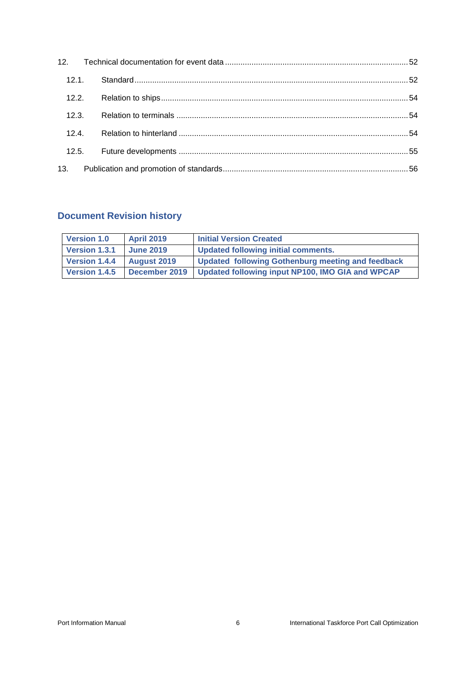| 12.1. |       |  |
|-------|-------|--|
|       | 12.2. |  |
| 12.3. |       |  |
| 12.4. |       |  |
|       | 12.5. |  |
|       |       |  |

# **Document Revision history**

| <b>Version 1.0</b>          | <b>April 2019</b> | <b>Initial Version Created</b>                    |
|-----------------------------|-------------------|---------------------------------------------------|
| <b>Version 1.3.1</b>        | <b>June 2019</b>  | Updated following initial comments.               |
| Version 1.4.4   August 2019 |                   | Updated following Gothenburg meeting and feedback |
| <b>Version 1.4.5</b>        | December 2019     | Updated following input NP100, IMO GIA and WPCAP  |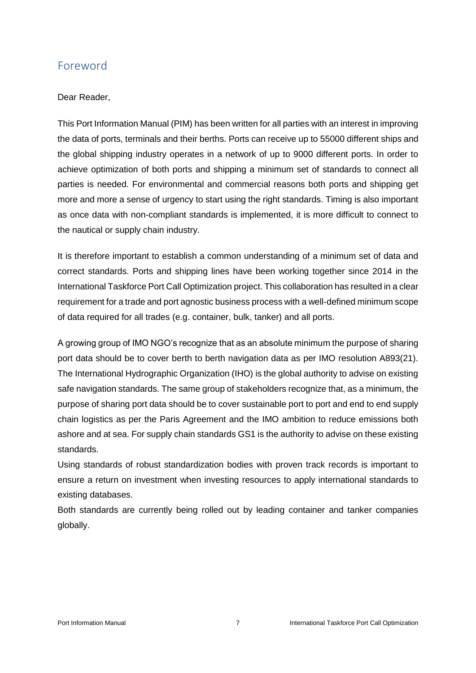# <span id="page-6-0"></span>Foreword

## Dear Reader,

This Port Information Manual (PIM) has been written for all parties with an interest in improving the data of ports, terminals and their berths. Ports can receive up to 55000 different ships and the global shipping industry operates in a network of up to 9000 different ports. In order to achieve optimization of both ports and shipping a minimum set of standards to connect all parties is needed. For environmental and commercial reasons both ports and shipping get more and more a sense of urgency to start using the right standards. Timing is also important as once data with non-compliant standards is implemented, it is more difficult to connect to the nautical or supply chain industry.

It is therefore important to establish a common understanding of a minimum set of data and correct standards. Ports and shipping lines have been working together since 2014 in the International Taskforce Port Call Optimization project. This collaboration has resulted in a clear requirement for a trade and port agnostic business process with a well-defined minimum scope of data required for all trades (e.g. container, bulk, tanker) and all ports.

A growing group of IMO NGO's recognize that as an absolute minimum the purpose of sharing port data should be to cover berth to berth navigation data as per IMO resolution A893(21). The International Hydrographic Organization (IHO) is the global authority to advise on existing safe navigation standards. The same group of stakeholders recognize that, as a minimum, the purpose of sharing port data should be to cover sustainable port to port and end to end supply chain logistics as per the Paris Agreement and the IMO ambition to reduce emissions both ashore and at sea. For supply chain standards GS1 is the authority to advise on these existing standards.

Using standards of robust standardization bodies with proven track records is important to ensure a return on investment when investing resources to apply international standards to existing databases.

Both standards are currently being rolled out by leading container and tanker companies globally.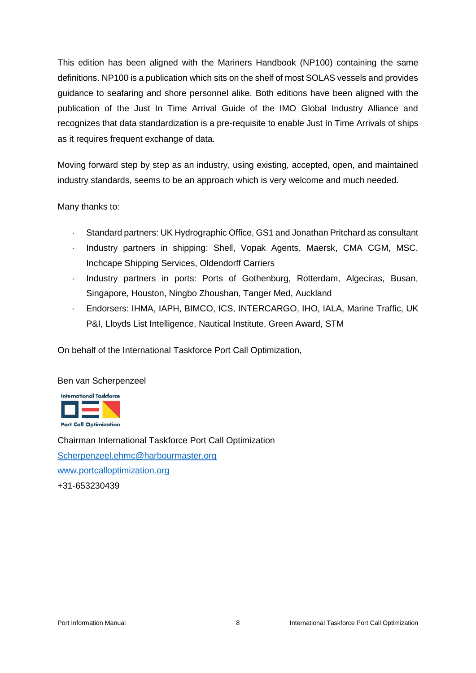This edition has been aligned with the Mariners Handbook (NP100) containing the same definitions. NP100 is a publication which sits on the shelf of most SOLAS vessels and provides guidance to seafaring and shore personnel alike. Both editions have been aligned with the publication of the Just In Time Arrival Guide of the IMO Global Industry Alliance and recognizes that data standardization is a pre-requisite to enable Just In Time Arrivals of ships as it requires frequent exchange of data.

Moving forward step by step as an industry, using existing, accepted, open, and maintained industry standards, seems to be an approach which is very welcome and much needed.

Many thanks to:

- Standard partners: UK Hydrographic Office, GS1 and Jonathan Pritchard as consultant
- · Industry partners in shipping: Shell, Vopak Agents, Maersk, CMA CGM, MSC, Inchcape Shipping Services, Oldendorff Carriers
- · Industry partners in ports: Ports of Gothenburg, Rotterdam, Algeciras, Busan, Singapore, Houston, Ningbo Zhoushan, Tanger Med, Auckland
- · Endorsers: IHMA, IAPH, BIMCO, ICS, INTERCARGO, IHO, IALA, Marine Traffic, UK P&I, Lloyds List Intelligence, Nautical Institute, Green Award, STM

On behalf of the International Taskforce Port Call Optimization,

#### Ben van Scherpenzeel



Chairman International Taskforce Port Call Optimization [Scherpenzeel.ehmc@harbourmaster.org](mailto:Scherpenzeel.ehmc@harbourmaster.org) [www.portcalloptimization.org](http://www.portcalloptimization.org/) +31-653230439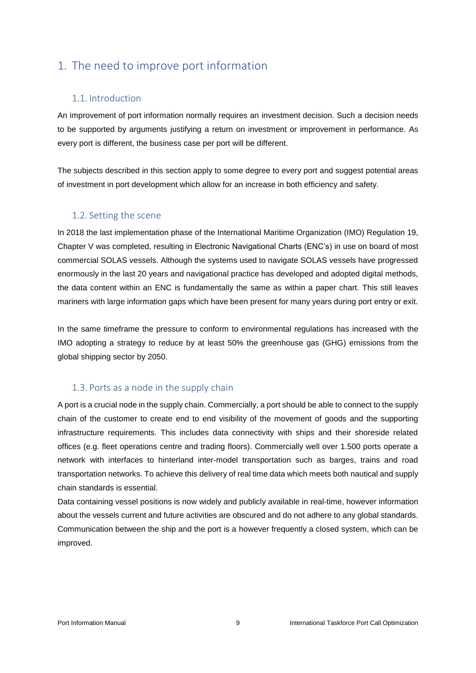# <span id="page-8-0"></span>1. The need to improve port information

# <span id="page-8-1"></span>1.1. Introduction

An improvement of port information normally requires an investment decision. Such a decision needs to be supported by arguments justifying a return on investment or improvement in performance. As every port is different, the business case per port will be different.

The subjects described in this section apply to some degree to every port and suggest potential areas of investment in port development which allow for an increase in both efficiency and safety.

# <span id="page-8-2"></span>1.2. Setting the scene

In 2018 the last implementation phase of the International Maritime Organization (IMO) Regulation 19, Chapter V was completed, resulting in Electronic Navigational Charts (ENC's) in use on board of most commercial SOLAS vessels. Although the systems used to navigate SOLAS vessels have progressed enormously in the last 20 years and navigational practice has developed and adopted digital methods, the data content within an ENC is fundamentally the same as within a paper chart. This still leaves mariners with large information gaps which have been present for many years during port entry or exit.

In the same timeframe the pressure to conform to environmental regulations has increased with the IMO adopting a strategy to reduce by at least 50% the greenhouse gas (GHG) emissions from the global shipping sector by 2050.

#### <span id="page-8-3"></span>1.3. Ports as a node in the supply chain

A port is a crucial node in the supply chain. Commercially, a port should be able to connect to the supply chain of the customer to create end to end visibility of the movement of goods and the supporting infrastructure requirements. This includes data connectivity with ships and their shoreside related offices (e.g. fleet operations centre and trading floors). Commercially well over 1.500 ports operate a network with interfaces to hinterland inter-model transportation such as barges, trains and road transportation networks. To achieve this delivery of real time data which meets both nautical and supply chain standards is essential.

Data containing vessel positions is now widely and publicly available in real-time, however information about the vessels current and future activities are obscured and do not adhere to any global standards. Communication between the ship and the port is a however frequently a closed system, which can be improved.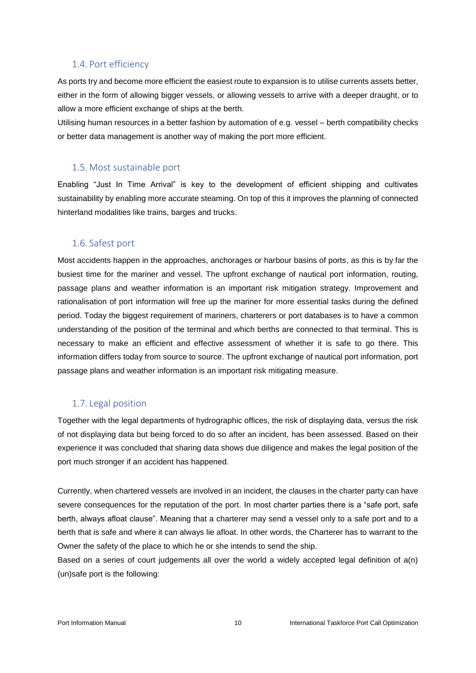#### <span id="page-9-0"></span>1.4. Port efficiency

As ports try and become more efficient the easiest route to expansion is to utilise currents assets better, either in the form of allowing bigger vessels, or allowing vessels to arrive with a deeper draught, or to allow a more efficient exchange of ships at the berth.

Utilising human resources in a better fashion by automation of e.g. vessel – berth compatibility checks or better data management is another way of making the port more efficient.

#### <span id="page-9-1"></span>1.5. Most sustainable port

Enabling "Just In Time Arrival" is key to the development of efficient shipping and cultivates sustainability by enabling more accurate steaming. On top of this it improves the planning of connected hinterland modalities like trains, barges and trucks.

#### <span id="page-9-2"></span>1.6. Safest port

Most accidents happen in the approaches, anchorages or harbour basins of ports, as this is by far the busiest time for the mariner and vessel. The upfront exchange of nautical port information, routing, passage plans and weather information is an important risk mitigation strategy. Improvement and rationalisation of port information will free up the mariner for more essential tasks during the defined period. Today the biggest requirement of mariners, charterers or port databases is to have a common understanding of the position of the terminal and which berths are connected to that terminal. This is necessary to make an efficient and effective assessment of whether it is safe to go there. This information differs today from source to source. The upfront exchange of nautical port information, port passage plans and weather information is an important risk mitigating measure.

#### <span id="page-9-3"></span>1.7. Legal position

Together with the legal departments of hydrographic offices, the risk of displaying data, versus the risk of not displaying data but being forced to do so after an incident, has been assessed. Based on their experience it was concluded that sharing data shows due diligence and makes the legal position of the port much stronger if an accident has happened.

Currently, when chartered vessels are involved in an incident, the clauses in the charter party can have severe consequences for the reputation of the port. In most charter parties there is a "safe port, safe berth, always afloat clause". Meaning that a charterer may send a vessel only to a safe port and to a berth that is safe and where it can always lie afloat. In other words, the Charterer has to warrant to the Owner the safety of the place to which he or she intends to send the ship.

Based on a series of court judgements all over the world a widely accepted legal definition of a(n) (un)safe port is the following: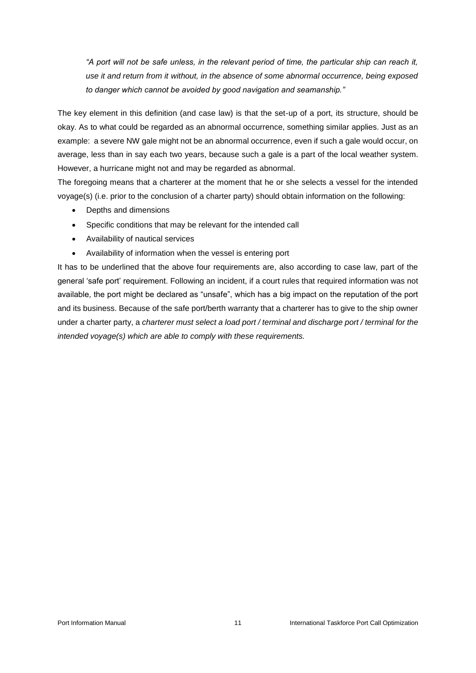*"A port will not be safe unless, in the relevant period of time, the particular ship can reach it, use it and return from it without, in the absence of some abnormal occurrence, being exposed to danger which cannot be avoided by good navigation and seamanship."*

The key element in this definition (and case law) is that the set-up of a port, its structure, should be okay. As to what could be regarded as an abnormal occurrence, something similar applies. Just as an example: a severe NW gale might not be an abnormal occurrence, even if such a gale would occur, on average, less than in say each two years, because such a gale is a part of the local weather system. However, a hurricane might not and may be regarded as abnormal.

The foregoing means that a charterer at the moment that he or she selects a vessel for the intended voyage(s) (i.e. prior to the conclusion of a charter party) should obtain information on the following:

- Depths and dimensions
- Specific conditions that may be relevant for the intended call
- Availability of nautical services
- Availability of information when the vessel is entering port

It has to be underlined that the above four requirements are, also according to case law, part of the general 'safe port' requirement. Following an incident, if a court rules that required information was not available, the port might be declared as "unsafe", which has a big impact on the reputation of the port and its business. Because of the safe port/berth warranty that a charterer has to give to the ship owner under a charter party, a *charterer must select a load port / terminal and discharge port / terminal for the intended voyage(s) which are able to comply with these requirements.*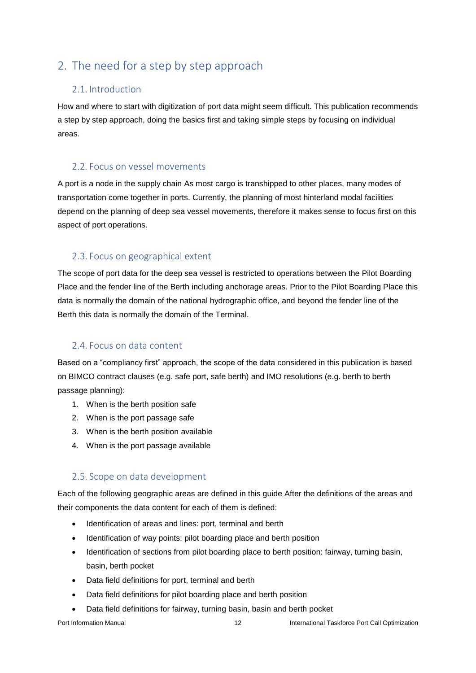# <span id="page-11-0"></span>2. The need for a step by step approach

# <span id="page-11-1"></span>2.1. Introduction

How and where to start with digitization of port data might seem difficult. This publication recommends a step by step approach, doing the basics first and taking simple steps by focusing on individual areas.

# <span id="page-11-2"></span>2.2. Focus on vessel movements

A port is a node in the supply chain As most cargo is transhipped to other places, many modes of transportation come together in ports. Currently, the planning of most hinterland modal facilities depend on the planning of deep sea vessel movements, therefore it makes sense to focus first on this aspect of port operations.

# <span id="page-11-3"></span>2.3. Focus on geographical extent

The scope of port data for the deep sea vessel is restricted to operations between the Pilot Boarding Place and the fender line of the Berth including anchorage areas. Prior to the Pilot Boarding Place this data is normally the domain of the national hydrographic office, and beyond the fender line of the Berth this data is normally the domain of the Terminal.

# <span id="page-11-4"></span>2.4. Focus on data content

Based on a "compliancy first" approach, the scope of the data considered in this publication is based on BIMCO contract clauses (e.g. safe port, safe berth) and IMO resolutions (e.g. berth to berth passage planning):

- 1. When is the berth position safe
- 2. When is the port passage safe
- 3. When is the berth position available
- 4. When is the port passage available

# <span id="page-11-5"></span>2.5. Scope on data development

Each of the following geographic areas are defined in this guide After the definitions of the areas and their components the data content for each of them is defined:

- Identification of areas and lines: port, terminal and berth
- Identification of way points: pilot boarding place and berth position
- Identification of sections from pilot boarding place to berth position: fairway, turning basin, basin, berth pocket
- Data field definitions for port, terminal and berth
- Data field definitions for pilot boarding place and berth position
- Data field definitions for fairway, turning basin, basin and berth pocket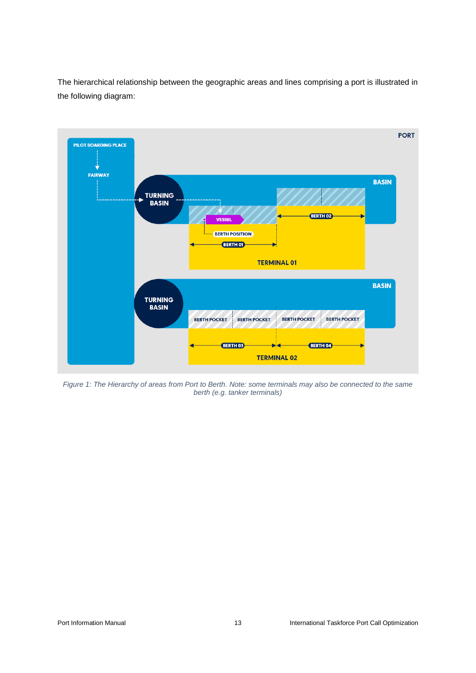The hierarchical relationship between the geographic areas and lines comprising a port is illustrated in the following diagram:



*Figure 1: The Hierarchy of areas from Port to Berth. Note: some terminals may also be connected to the same berth (e.g. tanker terminals)*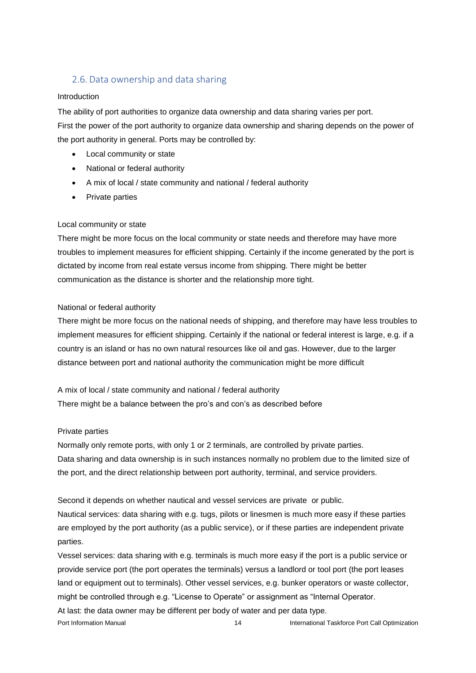# <span id="page-13-0"></span>2.6. Data ownership and data sharing

#### Introduction

The ability of port authorities to organize data ownership and data sharing varies per port. First the power of the port authority to organize data ownership and sharing depends on the power of the port authority in general. Ports may be controlled by:

- Local community or state
- National or federal authority
- A mix of local / state community and national / federal authority
- Private parties

#### Local community or state

There might be more focus on the local community or state needs and therefore may have more troubles to implement measures for efficient shipping. Certainly if the income generated by the port is dictated by income from real estate versus income from shipping. There might be better communication as the distance is shorter and the relationship more tight.

#### National or federal authority

There might be more focus on the national needs of shipping, and therefore may have less troubles to implement measures for efficient shipping. Certainly if the national or federal interest is large, e.g. if a country is an island or has no own natural resources like oil and gas. However, due to the larger distance between port and national authority the communication might be more difficult

A mix of local / state community and national / federal authority There might be a balance between the pro's and con's as described before

#### Private parties

Normally only remote ports, with only 1 or 2 terminals, are controlled by private parties. Data sharing and data ownership is in such instances normally no problem due to the limited size of the port, and the direct relationship between port authority, terminal, and service providers.

Second it depends on whether nautical and vessel services are private or public.

Nautical services: data sharing with e.g. tugs, pilots or linesmen is much more easy if these parties are employed by the port authority (as a public service), or if these parties are independent private parties.

Port Information Manual 14 14 International Taskforce Port Call Optimization Vessel services: data sharing with e.g. terminals is much more easy if the port is a public service or provide service port (the port operates the terminals) versus a landlord or tool port (the port leases land or equipment out to terminals). Other vessel services, e.g. bunker operators or waste collector, might be controlled through e.g. "License to Operate" or assignment as "Internal Operator. At last: the data owner may be different per body of water and per data type.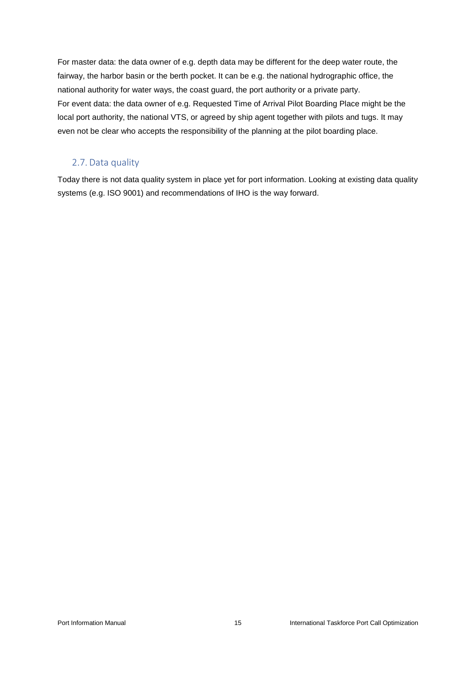For master data: the data owner of e.g. depth data may be different for the deep water route, the fairway, the harbor basin or the berth pocket. It can be e.g. the national hydrographic office, the national authority for water ways, the coast guard, the port authority or a private party. For event data: the data owner of e.g. Requested Time of Arrival Pilot Boarding Place might be the local port authority, the national VTS, or agreed by ship agent together with pilots and tugs. It may even not be clear who accepts the responsibility of the planning at the pilot boarding place.

# <span id="page-14-0"></span>2.7. Data quality

Today there is not data quality system in place yet for port information. Looking at existing data quality systems (e.g. ISO 9001) and recommendations of IHO is the way forward.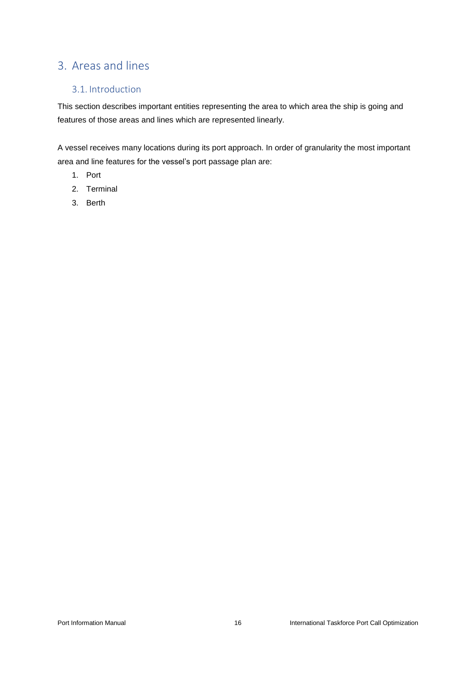# <span id="page-15-0"></span>3. Areas and lines

# <span id="page-15-1"></span>3.1. Introduction

This section describes important entities representing the area to which area the ship is going and features of those areas and lines which are represented linearly.

A vessel receives many locations during its port approach. In order of granularity the most important area and line features for the vessel's port passage plan are:

- 1. Port
- 2. Terminal
- 3. Berth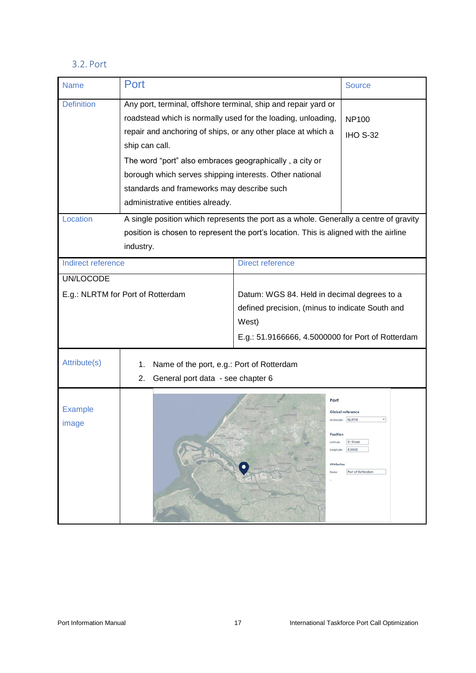# <span id="page-16-0"></span>3.2. Port

| <b>Name</b>                       | Port                                                                                                                                                                                                                                                                                                                                                                                                                     |                                                                                                                                                              | <b>Source</b>                                                        |
|-----------------------------------|--------------------------------------------------------------------------------------------------------------------------------------------------------------------------------------------------------------------------------------------------------------------------------------------------------------------------------------------------------------------------------------------------------------------------|--------------------------------------------------------------------------------------------------------------------------------------------------------------|----------------------------------------------------------------------|
| <b>Definition</b>                 | Any port, terminal, offshore terminal, ship and repair yard or<br>roadstead which is normally used for the loading, unloading,<br>repair and anchoring of ships, or any other place at which a<br>ship can call.<br>The word "port" also embraces geographically, a city or<br>borough which serves shipping interests. Other national<br>standards and frameworks may describe such<br>administrative entities already. |                                                                                                                                                              | <b>NP100</b><br><b>IHO S-32</b>                                      |
| Location                          | A single position which represents the port as a whole. Generally a centre of gravity<br>position is chosen to represent the port's location. This is aligned with the airline<br>industry.                                                                                                                                                                                                                              |                                                                                                                                                              |                                                                      |
| Indirect reference                |                                                                                                                                                                                                                                                                                                                                                                                                                          | <b>Direct reference</b>                                                                                                                                      |                                                                      |
| UN/LOCODE                         |                                                                                                                                                                                                                                                                                                                                                                                                                          |                                                                                                                                                              |                                                                      |
| E.g.: NLRTM for Port of Rotterdam |                                                                                                                                                                                                                                                                                                                                                                                                                          | Datum: WGS 84. Held in decimal degrees to a<br>defined precision, (minus to indicate South and<br>West)<br>E.g.: 51.9166666, 4.5000000 for Port of Rotterdam |                                                                      |
| Attribute(s)                      | Name of the port, e.g.: Port of Rotterdam<br>1.<br>General port data - see chapter 6<br>2.                                                                                                                                                                                                                                                                                                                               |                                                                                                                                                              |                                                                      |
| <b>Example</b><br>image           |                                                                                                                                                                                                                                                                                                                                                                                                                          | Port<br>Position<br>Latitude:<br>Longitude:<br><b>Attributes</b><br>Name:<br><b>uo</b>                                                                       | Global reference<br>NLRTM<br>51.91666<br>4,5000<br>Port of Rotterdam |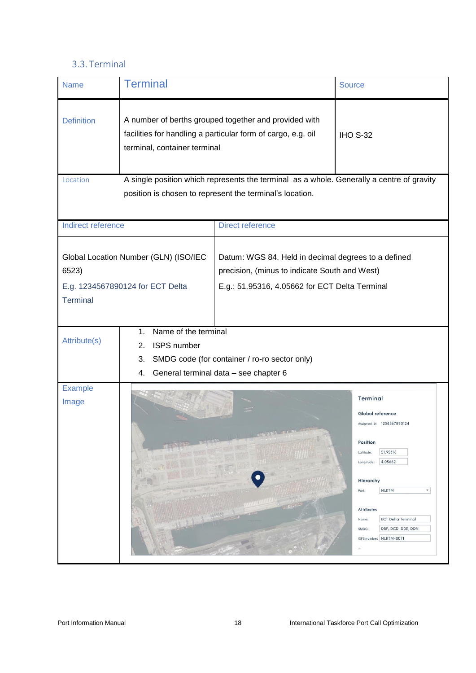# <span id="page-17-0"></span>3.3. Terminal

| <b>Name</b>              | <b>Terminal</b>                                                                                                                                       |                                                                                                                                                        | <b>Source</b>                                                                                                                                                                                                                                                                                                              |
|--------------------------|-------------------------------------------------------------------------------------------------------------------------------------------------------|--------------------------------------------------------------------------------------------------------------------------------------------------------|----------------------------------------------------------------------------------------------------------------------------------------------------------------------------------------------------------------------------------------------------------------------------------------------------------------------------|
| <b>Definition</b>        | A number of berths grouped together and provided with<br>facilities for handling a particular form of cargo, e.g. oil<br>terminal, container terminal |                                                                                                                                                        | <b>IHO S-32</b>                                                                                                                                                                                                                                                                                                            |
| Location                 |                                                                                                                                                       | A single position which represents the terminal as a whole. Generally a centre of gravity<br>position is chosen to represent the terminal's location.  |                                                                                                                                                                                                                                                                                                                            |
| Indirect reference       |                                                                                                                                                       | <b>Direct reference</b>                                                                                                                                |                                                                                                                                                                                                                                                                                                                            |
| 6523)<br><b>Terminal</b> | Global Location Number (GLN) (ISO/IEC<br>E.g. 1234567890124 for ECT Delta                                                                             | Datum: WGS 84. Held in decimal degrees to a defined<br>precision, (minus to indicate South and West)<br>E.g.: 51.95316, 4.05662 for ECT Delta Terminal |                                                                                                                                                                                                                                                                                                                            |
| Attribute(s)             | Name of the terminal<br>1.<br><b>ISPS</b> number<br>2.<br>3.<br>4.                                                                                    | SMDG code (for container / ro-ro sector only)<br>General terminal data - see chapter 6                                                                 |                                                                                                                                                                                                                                                                                                                            |
| <b>Example</b><br>Image  |                                                                                                                                                       |                                                                                                                                                        | <b>Terminal</b><br>Global reference<br>Assigned ID: 1234567890124<br>Position<br>Latitude:<br>51.95316<br>4.05662<br>Longitude:<br>Hierarchy<br><b>NLRTM</b><br>Port:<br>$\boldsymbol{\mathrm{v}}$<br>Attributes<br>Name:<br><b>ECT Delta Terminal</b><br>DBF, DCD, DDE, DDN<br>SMDG:<br><b>NLRTM-0071</b><br>ISPS number: |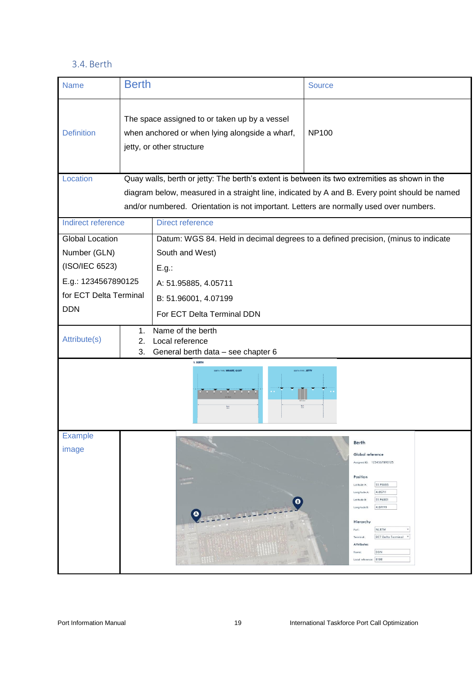# 3.4. Berth

<span id="page-18-0"></span>

| <b>Name</b>            | <b>Berth</b>                                                                                                                 |                                                                                                           | <b>Source</b>                                                                                 |  |
|------------------------|------------------------------------------------------------------------------------------------------------------------------|-----------------------------------------------------------------------------------------------------------|-----------------------------------------------------------------------------------------------|--|
| <b>Definition</b>      | The space assigned to or taken up by a vessel<br>when anchored or when lying alongside a wharf,<br>jetty, or other structure |                                                                                                           | <b>NP100</b>                                                                                  |  |
| Location               |                                                                                                                              | Quay walls, berth or jetty: The berth's extent is between its two extremities as shown in the             |                                                                                               |  |
|                        |                                                                                                                              |                                                                                                           | diagram below, measured in a straight line, indicated by A and B. Every point should be named |  |
|                        |                                                                                                                              | and/or numbered. Orientation is not important. Letters are normally used over numbers.                    |                                                                                               |  |
| Indirect reference     |                                                                                                                              | <b>Direct reference</b>                                                                                   |                                                                                               |  |
| <b>Global Location</b> |                                                                                                                              |                                                                                                           | Datum: WGS 84. Held in decimal degrees to a defined precision, (minus to indicate             |  |
| Number (GLN)           |                                                                                                                              | South and West)                                                                                           |                                                                                               |  |
| (ISO/IEC 6523)         |                                                                                                                              | E.g.:                                                                                                     |                                                                                               |  |
| E.g.: 1234567890125    |                                                                                                                              | A: 51.95885, 4.05711                                                                                      |                                                                                               |  |
| for ECT Delta Terminal |                                                                                                                              | B: 51.96001, 4.07199                                                                                      |                                                                                               |  |
| <b>DDN</b>             |                                                                                                                              | For ECT Delta Terminal DDN                                                                                |                                                                                               |  |
| Attribute(s)           | 1.<br>2.<br>3.                                                                                                               | Name of the berth<br>Local reference<br>General berth data - see chapter 6                                |                                                                                               |  |
|                        |                                                                                                                              | 1. BERTH<br><b>BERTH TYPE: WHARE, QUAY</b><br>BERTH TYPE: JETTY<br>$rac{3n+1}{(2n)!}$<br>$\frac{6n}{60N}$ |                                                                                               |  |
| <b>Example</b>         |                                                                                                                              |                                                                                                           | <b>Berth</b>                                                                                  |  |
| image                  |                                                                                                                              |                                                                                                           | Global reference                                                                              |  |
|                        |                                                                                                                              |                                                                                                           | Assigned ID: 1234567890125                                                                    |  |
|                        |                                                                                                                              |                                                                                                           | Position<br>51.95885<br>Latitude A:                                                           |  |
|                        |                                                                                                                              | ◎                                                                                                         | 4.05711<br>Longitude A:<br>51,96001<br>Latitude B:                                            |  |
|                        |                                                                                                                              |                                                                                                           | 4.07199<br>Longitude B:                                                                       |  |
|                        |                                                                                                                              |                                                                                                           | Hierarchy<br>NLRTM<br>Port:                                                                   |  |
|                        |                                                                                                                              |                                                                                                           | <b>ECT Delta Terminal</b><br>$\mathbf{v}$<br>Terminal:<br>Attributes                          |  |
|                        |                                                                                                                              |                                                                                                           | DDN<br>Name<br>Local reference: 8180                                                          |  |
|                        |                                                                                                                              |                                                                                                           |                                                                                               |  |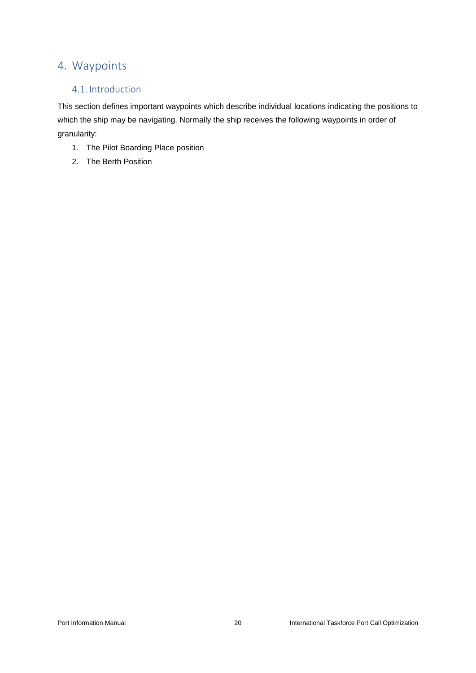# <span id="page-19-0"></span>4. Waypoints

# <span id="page-19-1"></span>4.1. Introduction

This section defines important waypoints which describe individual locations indicating the positions to which the ship may be navigating. Normally the ship receives the following waypoints in order of granularity:

- 1. The Pilot Boarding Place position
- 2. The Berth Position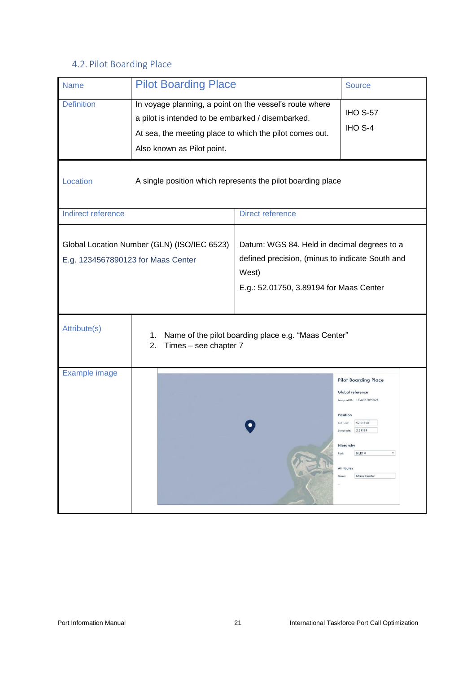# <span id="page-20-0"></span>4.2. Pilot Boarding Place

| <b>Name</b>                                                                       | <b>Pilot Boarding Place</b>                                                                                                                                                                           |                                                                                                                                                    | <b>Source</b>                                                                                                                                                                                           |  |
|-----------------------------------------------------------------------------------|-------------------------------------------------------------------------------------------------------------------------------------------------------------------------------------------------------|----------------------------------------------------------------------------------------------------------------------------------------------------|---------------------------------------------------------------------------------------------------------------------------------------------------------------------------------------------------------|--|
| <b>Definition</b>                                                                 | In voyage planning, a point on the vessel's route where<br>a pilot is intended to be embarked / disembarked.<br>At sea, the meeting place to which the pilot comes out.<br>Also known as Pilot point. |                                                                                                                                                    | <b>IHO S-57</b><br>IHO S-4                                                                                                                                                                              |  |
| Location                                                                          |                                                                                                                                                                                                       | A single position which represents the pilot boarding place                                                                                        |                                                                                                                                                                                                         |  |
| Indirect reference                                                                |                                                                                                                                                                                                       | <b>Direct reference</b>                                                                                                                            |                                                                                                                                                                                                         |  |
| Global Location Number (GLN) (ISO/IEC 6523)<br>E.g. 1234567890123 for Maas Center |                                                                                                                                                                                                       | Datum: WGS 84. Held in decimal degrees to a<br>defined precision, (minus to indicate South and<br>West)<br>E.g.: 52.01750, 3.89194 for Maas Center |                                                                                                                                                                                                         |  |
| Attribute(s)                                                                      | 1.<br>2.<br>Times - see chapter 7                                                                                                                                                                     | Name of the pilot boarding place e.g. "Maas Center"                                                                                                |                                                                                                                                                                                                         |  |
| Example image                                                                     |                                                                                                                                                                                                       |                                                                                                                                                    | <b>Pilot Boarding Place</b><br>Global reference<br>Assigned ID: 1234567890123<br>Position<br>52.01750<br>Latitude:<br>3.89194<br>Longitude:<br>Hierarchy<br>NLRTM<br>Port:<br>Attributes<br>Maas Center |  |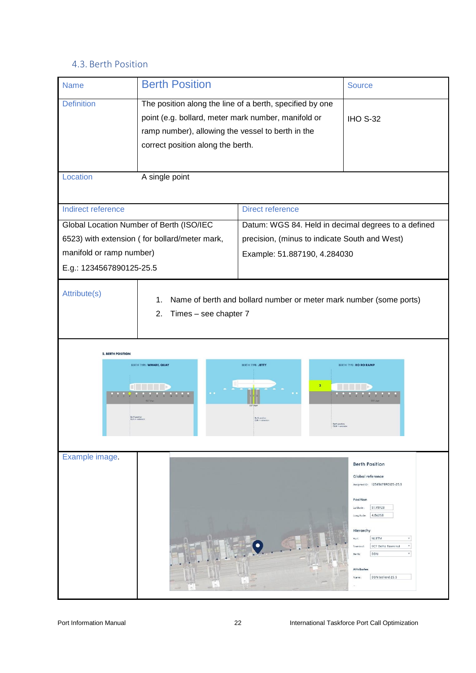# <span id="page-21-0"></span>4.3. Berth Position

| <b>Name</b>              | <b>Berth Position</b>                                                                                           |                                                                                                    | <b>Source</b>                 |
|--------------------------|-----------------------------------------------------------------------------------------------------------------|----------------------------------------------------------------------------------------------------|-------------------------------|
| <b>Definition</b>        | The position along the line of a berth, specified by one<br>point (e.g. bollard, meter mark number, manifold or |                                                                                                    | <b>IHO S-32</b>               |
|                          | ramp number), allowing the vessel to berth in the<br>correct position along the berth.                          |                                                                                                    |                               |
| Location                 | A single point                                                                                                  |                                                                                                    |                               |
| Indirect reference       |                                                                                                                 | <b>Direct reference</b>                                                                            |                               |
|                          | Global Location Number of Berth (ISO/IEC                                                                        | Datum: WGS 84. Held in decimal degrees to a defined                                                |                               |
|                          | 6523) with extension (for bollard/meter mark,                                                                   | precision, (minus to indicate South and West)                                                      |                               |
| manifold or ramp number) |                                                                                                                 | Example: 51.887190, 4.284030                                                                       |                               |
| E.g.: 1234567890125-25.5 |                                                                                                                 |                                                                                                    |                               |
| Attribute(s)             | 1.<br>2.<br>Times - see chapter 7                                                                               | Name of berth and bollard number or meter mark number (some ports)                                 |                               |
|                          |                                                                                                                 |                                                                                                    |                               |
| <b>2. BERTH POSITION</b> |                                                                                                                 |                                                                                                    |                               |
|                          | BERTH TYPE: WHARF, QUAY<br>$10 - 11 - 12 - 13$<br>$$57$ ch                                                      | BERTH TYPE: JETTY<br>$\mathbf{2}^{\circ}$<br>Berth position<br>GLN + exten<br><b>Beth position</b> | <b>BERTH TYPE: RO RO RAMP</b> |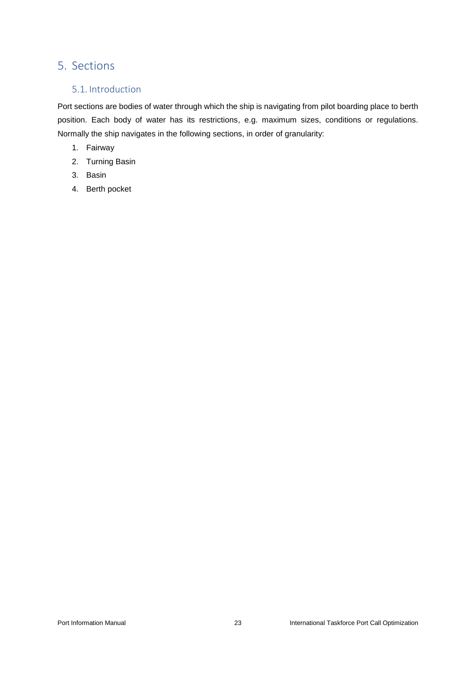# <span id="page-22-0"></span>5. Sections

# <span id="page-22-1"></span>5.1. Introduction

Port sections are bodies of water through which the ship is navigating from pilot boarding place to berth position. Each body of water has its restrictions, e.g. maximum sizes, conditions or regulations. Normally the ship navigates in the following sections, in order of granularity:

- 1. Fairway
- 2. Turning Basin
- 3. Basin
- 4. Berth pocket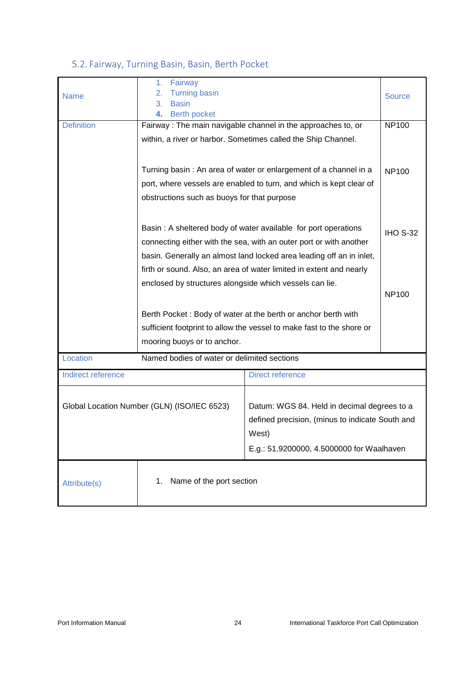# <span id="page-23-0"></span>5.2. Fairway, Turning Basin, Basin, Berth Pocket

| <b>Name</b>                                 | Fairway<br>1.<br><b>Turning basin</b><br>2.<br><b>Basin</b><br>3. |                                                                                                                                      | <b>Source</b>   |
|---------------------------------------------|-------------------------------------------------------------------|--------------------------------------------------------------------------------------------------------------------------------------|-----------------|
|                                             | <b>Berth pocket</b><br>4.                                         |                                                                                                                                      |                 |
| <b>Definition</b>                           | Fairway: The main navigable channel in the approaches to, or      |                                                                                                                                      | <b>NP100</b>    |
|                                             |                                                                   | within, a river or harbor. Sometimes called the Ship Channel.                                                                        |                 |
|                                             |                                                                   | Turning basin: An area of water or enlargement of a channel in a                                                                     | <b>NP100</b>    |
|                                             |                                                                   | port, where vessels are enabled to turn, and which is kept clear of                                                                  |                 |
|                                             |                                                                   |                                                                                                                                      |                 |
|                                             | obstructions such as buoys for that purpose                       |                                                                                                                                      |                 |
|                                             |                                                                   | Basin: A sheltered body of water available for port operations<br>connecting either with the sea, with an outer port or with another | <b>IHO S-32</b> |
|                                             |                                                                   | basin. Generally an almost land locked area leading off an in inlet,                                                                 |                 |
|                                             |                                                                   | firth or sound. Also, an area of water limited in extent and nearly                                                                  |                 |
|                                             | enclosed by structures alongside which vessels can lie.           |                                                                                                                                      |                 |
|                                             |                                                                   |                                                                                                                                      | <b>NP100</b>    |
|                                             |                                                                   | Berth Pocket: Body of water at the berth or anchor berth with                                                                        |                 |
|                                             |                                                                   | sufficient footprint to allow the vessel to make fast to the shore or                                                                |                 |
|                                             | mooring buoys or to anchor.                                       |                                                                                                                                      |                 |
|                                             |                                                                   |                                                                                                                                      |                 |
| Location                                    | Named bodies of water or delimited sections                       |                                                                                                                                      |                 |
| Indirect reference                          |                                                                   | <b>Direct reference</b>                                                                                                              |                 |
| Global Location Number (GLN) (ISO/IEC 6523) |                                                                   | Datum: WGS 84. Held in decimal degrees to a<br>defined precision, (minus to indicate South and                                       |                 |
|                                             |                                                                   | West)                                                                                                                                |                 |
|                                             |                                                                   |                                                                                                                                      |                 |
|                                             |                                                                   | E.g.: 51.9200000, 4.5000000 for Waalhaven                                                                                            |                 |
| Attribute(s)                                | Name of the port section<br>1.                                    |                                                                                                                                      |                 |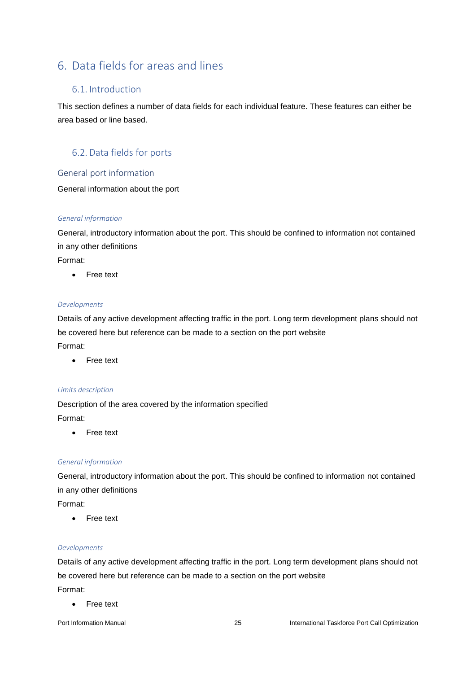# <span id="page-24-0"></span>6. Data fields for areas and lines

# <span id="page-24-1"></span>6.1. Introduction

This section defines a number of data fields for each individual feature. These features can either be area based or line based.

# <span id="page-24-2"></span>6.2. Data fields for ports

# <span id="page-24-3"></span>General port information

General information about the port

#### *General information*

General, introductory information about the port. This should be confined to information not contained in any other definitions

Format:

• Free text

#### *Developments*

Details of any active development affecting traffic in the port. Long term development plans should not be covered here but reference can be made to a section on the port website Format:

• Free text

#### *Limits description*

Description of the area covered by the information specified Format:

• Free text

#### *General information*

General, introductory information about the port. This should be confined to information not contained in any other definitions

Format:

• Free text

#### *Developments*

Details of any active development affecting traffic in the port. Long term development plans should not be covered here but reference can be made to a section on the port website Format:

• Free text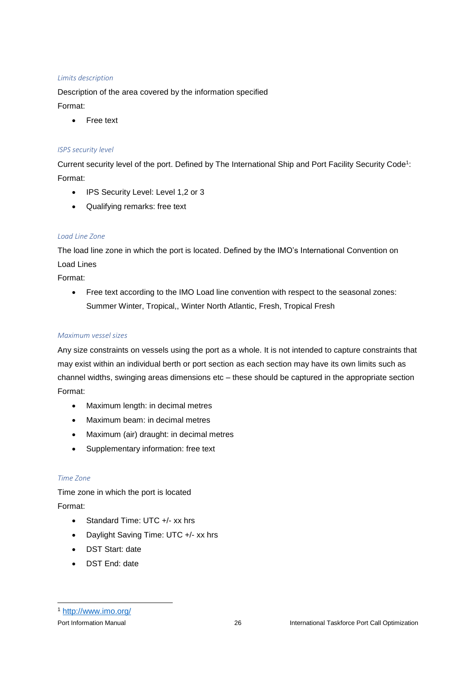#### *Limits description*

Description of the area covered by the information specified Format:

• Free text

#### *ISPS security level*

Current security level of the port. Defined by The International Ship and Port Facility Security Code<sup>1</sup>: Format:

- IPS Security Level: Level 1,2 or 3
- Qualifying remarks: free text

#### *Load Line Zone*

The load line zone in which the port is located. Defined by the IMO's International Convention on Load Lines

Format:

• Free text according to the IMO Load line convention with respect to the seasonal zones: Summer Winter, Tropical,, Winter North Atlantic, Fresh, Tropical Fresh

#### *Maximum vessel sizes*

Any size constraints on vessels using the port as a whole. It is not intended to capture constraints that may exist within an individual berth or port section as each section may have its own limits such as channel widths, swinging areas dimensions etc – these should be captured in the appropriate section Format:

- Maximum length: in decimal metres
- Maximum beam: in decimal metres
- Maximum (air) draught: in decimal metres
- Supplementary information: free text

#### *Time Zone*

Time zone in which the port is located Format:

- Standard Time: UTC +/- xx hrs
- Daylight Saving Time: UTC +/- xx hrs
- DST Start: date
- DST End: date

-

<sup>1</sup> <http://www.imo.org/>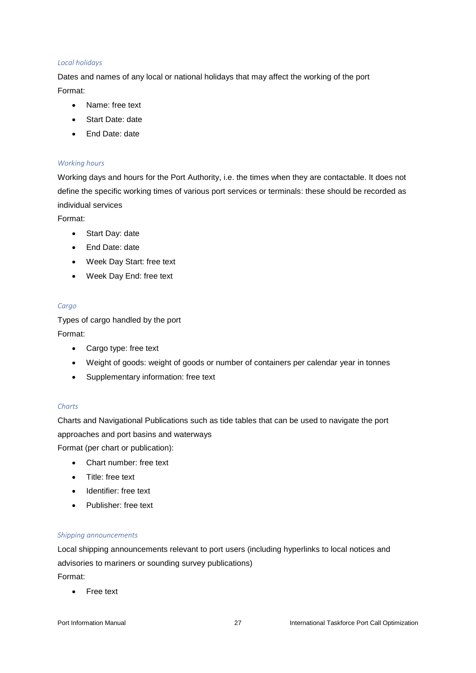#### *Local holidays*

Dates and names of any local or national holidays that may affect the working of the port Format:

- Name: free text
- Start Date: date
- End Date: date

#### *Working hours*

Working days and hours for the Port Authority, i.e. the times when they are contactable. It does not define the specific working times of various port services or terminals: these should be recorded as individual services

Format:

- Start Day: date
- End Date: date
- Week Day Start: free text
- Week Day End: free text

#### *Cargo*

Types of cargo handled by the port Format:

- Cargo type: free text
- Weight of goods: weight of goods or number of containers per calendar year in tonnes
- Supplementary information: free text

#### *Charts*

Charts and Navigational Publications such as tide tables that can be used to navigate the port approaches and port basins and waterways

Format (per chart or publication):

- Chart number: free text
- Title: free text
- Identifier: free text
- Publisher: free text

#### *Shipping announcements*

Local shipping announcements relevant to port users (including hyperlinks to local notices and advisories to mariners or sounding survey publications) Format:

• Free text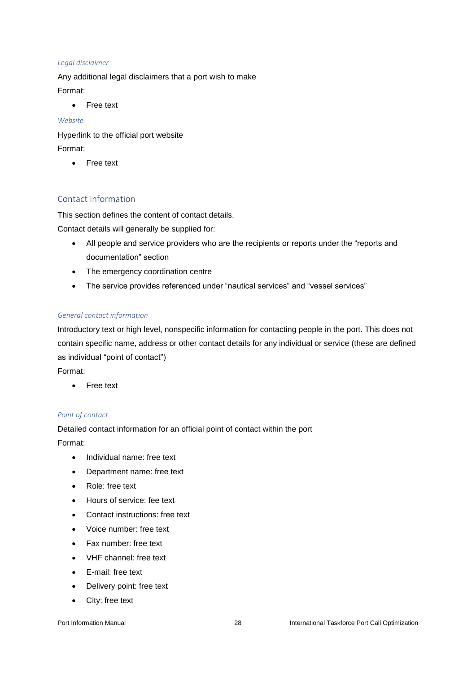#### *Legal disclaimer*

Any additional legal disclaimers that a port wish to make Format:

• Free text

#### *Website*

Hyperlink to the official port website Format:

• Free text

# <span id="page-27-0"></span>Contact information

This section defines the content of contact details.

Contact details will generally be supplied for:

- All people and service providers who are the recipients or reports under the "reports and documentation" section
- The emergency coordination centre
- The service provides referenced under "nautical services" and "vessel services"

#### *General contact information*

Introductory text or high level, nonspecific information for contacting people in the port. This does not contain specific name, address or other contact details for any individual or service (these are defined as individual "point of contact")

Format:

• Free text

#### *Point of contact*

Detailed contact information for an official point of contact within the port Format:

- Individual name: free text
- Department name: free text
- Role: free text
- Hours of service: fee text
- Contact instructions: free text
- Voice number: free text
- Fax number: free text
- VHF channel: free text
- E-mail: free text
- Delivery point: free text
- City: free text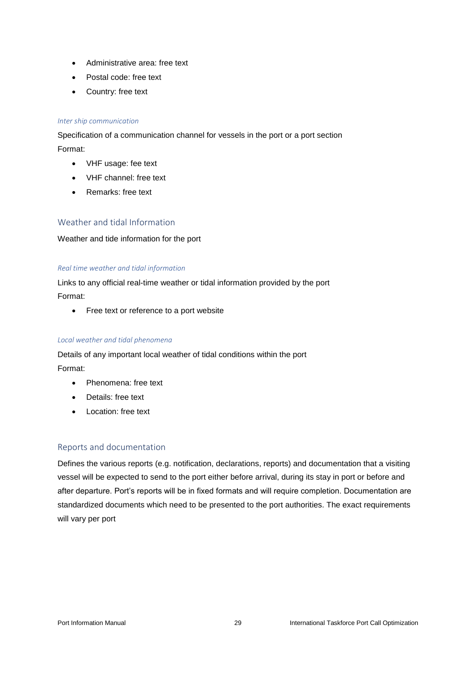- Administrative area: free text
- Postal code: free text
- Country: free text

#### *Inter ship communication*

Specification of a communication channel for vessels in the port or a port section Format:

- VHF usage: fee text
- VHF channel: free text
- Remarks: free text

#### <span id="page-28-0"></span>Weather and tidal Information

Weather and tide information for the port

#### *Real time weather and tidal information*

Links to any official real-time weather or tidal information provided by the port Format:

• Free text or reference to a port website

#### *Local weather and tidal phenomena*

Details of any important local weather of tidal conditions within the port Format:

- Phenomena: free text
- Details: free text
- Location: free text

#### <span id="page-28-1"></span>Reports and documentation

Defines the various reports (e.g. notification, declarations, reports) and documentation that a visiting vessel will be expected to send to the port either before arrival, during its stay in port or before and after departure. Port's reports will be in fixed formats and will require completion. Documentation are standardized documents which need to be presented to the port authorities. The exact requirements will vary per port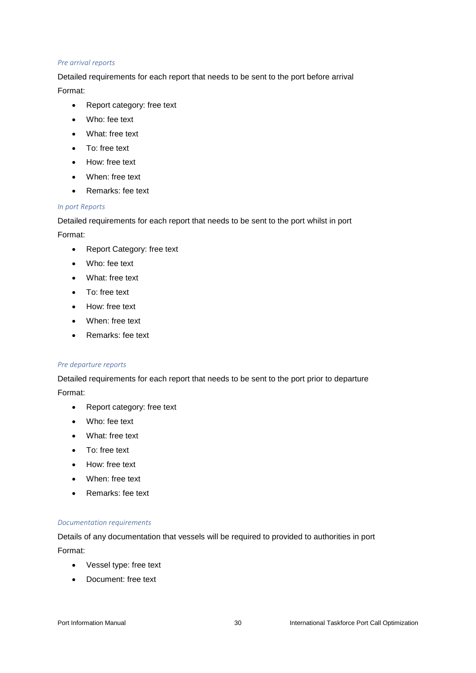#### *Pre arrival reports*

Detailed requirements for each report that needs to be sent to the port before arrival Format:

- Report category: free text
- Who: fee text
- What: free text
- To: free text
- How: free text
- When: free text
- Remarks: fee text

#### *In port Reports*

Detailed requirements for each report that needs to be sent to the port whilst in port

Format:

- Report Category: free text
- Who: fee text
- What: free text
- To: free text
- How: free text
- When: free text
- Remarks: fee text

#### *Pre departure reports*

Detailed requirements for each report that needs to be sent to the port prior to departure Format:

- Report category: free text
- Who: fee text
- What: free text
- To: free text
- How: free text
- When: free text
- Remarks: fee text

#### *Documentation requirements*

Details of any documentation that vessels will be required to provided to authorities in port Format:

- Vessel type: free text
- Document: free text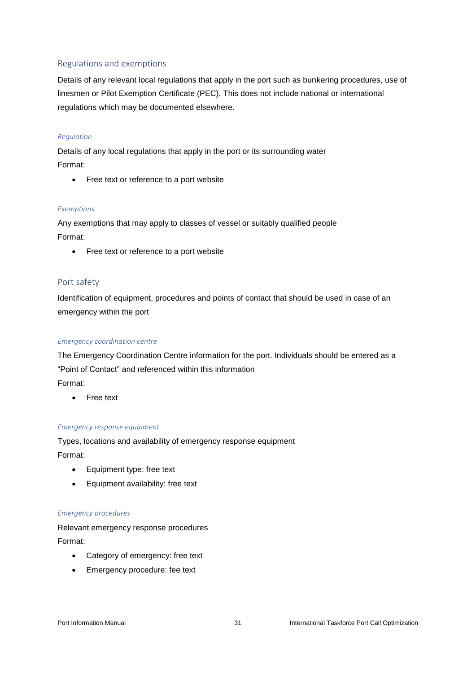## <span id="page-30-0"></span>Regulations and exemptions

Details of any relevant local regulations that apply in the port such as bunkering procedures, use of linesmen or Pilot Exemption Certificate (PEC). This does not include national or international regulations which may be documented elsewhere.

#### *Regulation*

Details of any local regulations that apply in the port or its surrounding water Format:

• Free text or reference to a port website

#### *Exemptions*

Any exemptions that may apply to classes of vessel or suitably qualified people Format:

• Free text or reference to a port website

#### <span id="page-30-1"></span>Port safety

Identification of equipment, procedures and points of contact that should be used in case of an emergency within the port

#### *Emergency coordination centre*

The Emergency Coordination Centre information for the port. Individuals should be entered as a "Point of Contact" and referenced within this information Format:

• Free text

#### *Emergency response equipment*

Types, locations and availability of emergency response equipment Format:

- Equipment type: free text
- Equipment availability: free text

#### *Emergency procedures*

Relevant emergency response procedures Format:

- Category of emergency: free text
- Emergency procedure: fee text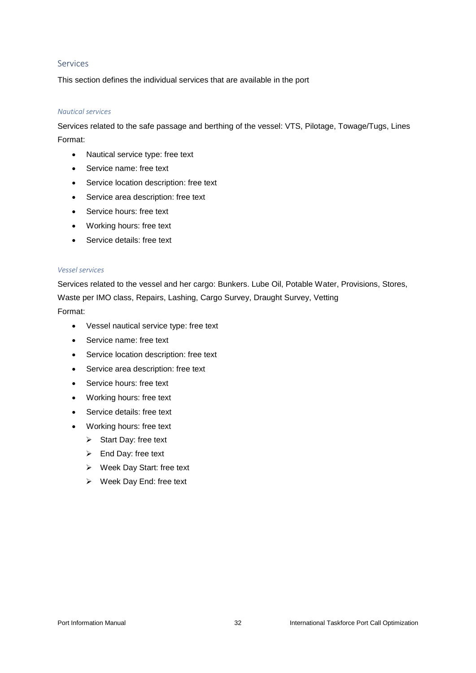#### <span id="page-31-0"></span>Services

This section defines the individual services that are available in the port

#### *Nautical services*

Services related to the safe passage and berthing of the vessel: VTS, Pilotage, Towage/Tugs, Lines Format:

- Nautical service type: free text
- Service name: free text
- Service location description: free text
- Service area description: free text
- Service hours: free text
- Working hours: free text
- Service details: free text

#### *Vessel services*

Services related to the vessel and her cargo: Bunkers. Lube Oil, Potable Water, Provisions, Stores, Waste per IMO class, Repairs, Lashing, Cargo Survey, Draught Survey, Vetting Format:

- Vessel nautical service type: free text
- Service name: free text
- Service location description: free text
- Service area description: free text
- Service hours: free text
- Working hours: free text
- Service details: free text
- Working hours: free text
	- ➢ Start Day: free text
	- ➢ End Day: free text
	- ➢ Week Day Start: free text
	- ➢ Week Day End: free text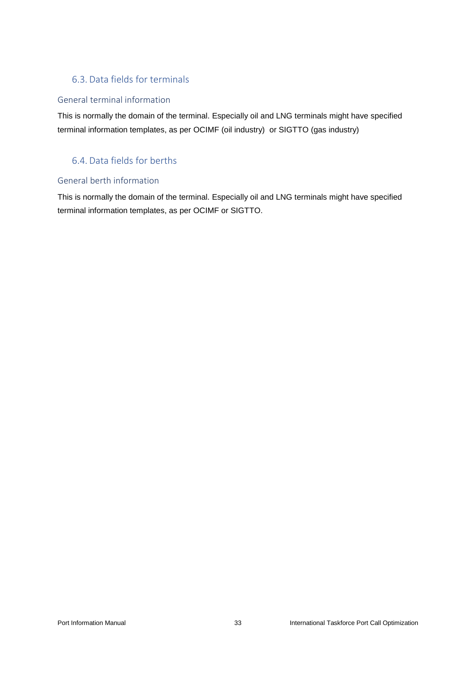# <span id="page-32-0"></span>6.3. Data fields for terminals

# <span id="page-32-1"></span>General terminal information

This is normally the domain of the terminal. Especially oil and LNG terminals might have specified terminal information templates, as per OCIMF (oil industry) or SIGTTO (gas industry)

# <span id="page-32-2"></span>6.4. Data fields for berths

# <span id="page-32-3"></span>General berth information

This is normally the domain of the terminal. Especially oil and LNG terminals might have specified terminal information templates, as per OCIMF or SIGTTO.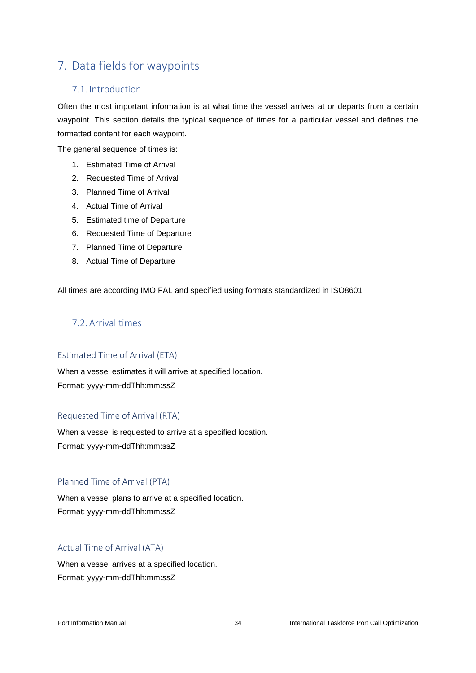# <span id="page-33-0"></span>7. Data fields for waypoints

# <span id="page-33-1"></span>7.1. Introduction

Often the most important information is at what time the vessel arrives at or departs from a certain waypoint. This section details the typical sequence of times for a particular vessel and defines the formatted content for each waypoint.

The general sequence of times is:

- 1. Estimated Time of Arrival
- 2. Requested Time of Arrival
- 3. Planned Time of Arrival
- 4. Actual Time of Arrival
- 5. Estimated time of Departure
- 6. Requested Time of Departure
- 7. Planned Time of Departure
- 8. Actual Time of Departure

All times are according IMO FAL and specified using formats standardized in ISO8601

# <span id="page-33-2"></span>7.2. Arrival times

#### <span id="page-33-3"></span>Estimated Time of Arrival (ETA)

When a vessel estimates it will arrive at specified location. Format: yyyy-mm-ddThh:mm:ssZ

#### <span id="page-33-4"></span>Requested Time of Arrival (RTA)

When a vessel is requested to arrive at a specified location. Format: yyyy-mm-ddThh:mm:ssZ

#### <span id="page-33-5"></span>Planned Time of Arrival (PTA)

When a vessel plans to arrive at a specified location. Format: yyyy-mm-ddThh:mm:ssZ

#### <span id="page-33-6"></span>Actual Time of Arrival (ATA)

When a vessel arrives at a specified location. Format: yyyy-mm-ddThh:mm:ssZ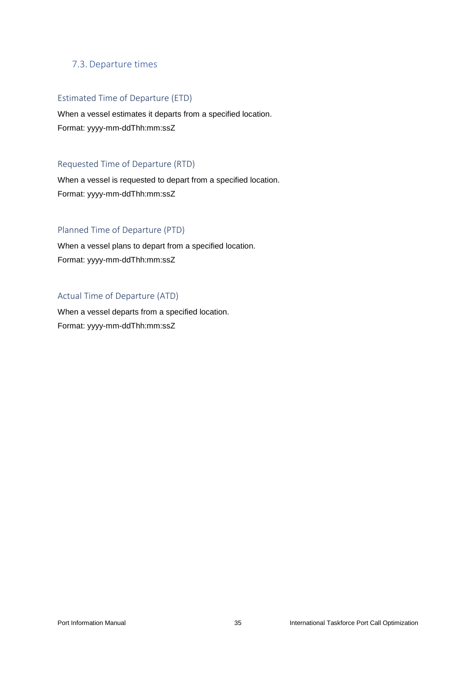## <span id="page-34-0"></span>7.3. Departure times

#### <span id="page-34-1"></span>Estimated Time of Departure (ETD)

When a vessel estimates it departs from a specified location. Format: yyyy-mm-ddThh:mm:ssZ

## <span id="page-34-2"></span>Requested Time of Departure (RTD)

When a vessel is requested to depart from a specified location. Format: yyyy-mm-ddThh:mm:ssZ

#### <span id="page-34-3"></span>Planned Time of Departure (PTD)

When a vessel plans to depart from a specified location. Format: yyyy-mm-ddThh:mm:ssZ

#### <span id="page-34-4"></span>Actual Time of Departure (ATD)

When a vessel departs from a specified location. Format: yyyy-mm-ddThh:mm:ssZ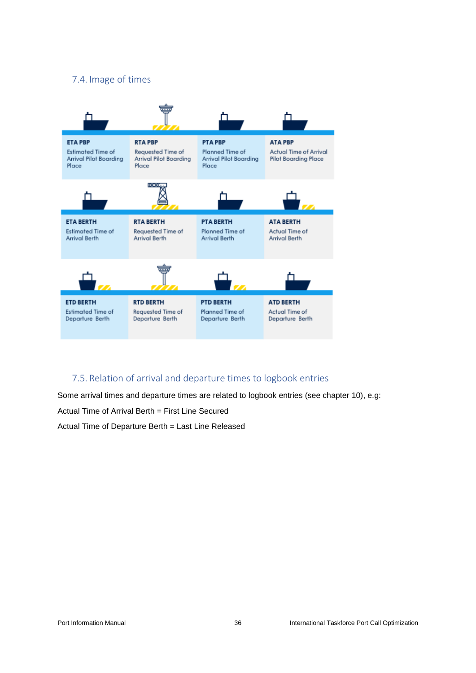# <span id="page-35-0"></span>7.4. Image of times



# <span id="page-35-1"></span>7.5. Relation of arrival and departure times to logbook entries

Some arrival times and departure times are related to logbook entries (see chapter 10), e.g: Actual Time of Arrival Berth = First Line Secured

Actual Time of Departure Berth = Last Line Released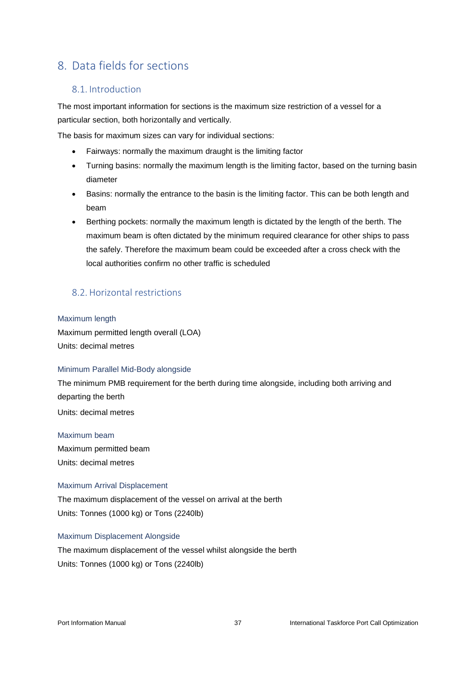# <span id="page-36-0"></span>8. Data fields for sections

# <span id="page-36-1"></span>8.1. Introduction

The most important information for sections is the maximum size restriction of a vessel for a particular section, both horizontally and vertically.

The basis for maximum sizes can vary for individual sections:

- Fairways: normally the maximum draught is the limiting factor
- Turning basins: normally the maximum length is the limiting factor, based on the turning basin diameter
- Basins: normally the entrance to the basin is the limiting factor. This can be both length and beam
- Berthing pockets: normally the maximum length is dictated by the length of the berth. The maximum beam is often dictated by the minimum required clearance for other ships to pass the safely. Therefore the maximum beam could be exceeded after a cross check with the local authorities confirm no other traffic is scheduled

# <span id="page-36-2"></span>8.2. Horizontal restrictions

#### <span id="page-36-3"></span>Maximum length

Maximum permitted length overall (LOA) Units: decimal metres

#### <span id="page-36-4"></span>Minimum Parallel Mid-Body alongside

The minimum PMB requirement for the berth during time alongside, including both arriving and departing the berth

Units: decimal metres

<span id="page-36-5"></span>Maximum beam

Maximum permitted beam Units: decimal metres

#### <span id="page-36-6"></span>Maximum Arrival Displacement

The maximum displacement of the vessel on arrival at the berth Units: Tonnes (1000 kg) or Tons (2240lb)

#### <span id="page-36-7"></span>Maximum Displacement Alongside

The maximum displacement of the vessel whilst alongside the berth Units: Tonnes (1000 kg) or Tons (2240lb)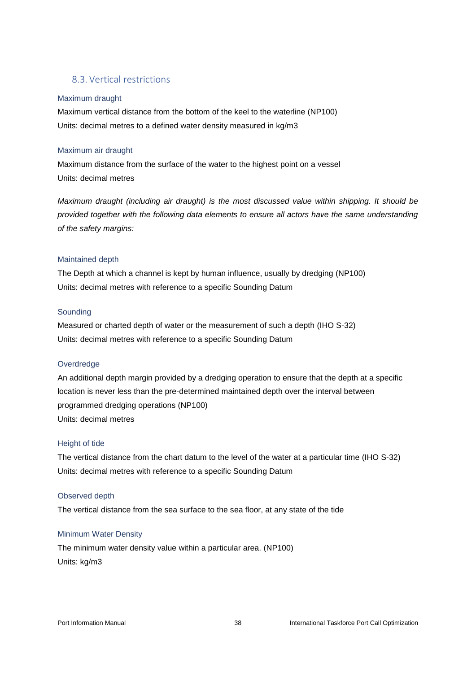## <span id="page-37-0"></span>8.3. Vertical restrictions

#### <span id="page-37-1"></span>Maximum draught

Maximum vertical distance from the bottom of the keel to the waterline (NP100) Units: decimal metres to a defined water density measured in kg/m3

#### <span id="page-37-2"></span>Maximum air draught

Maximum distance from the surface of the water to the highest point on a vessel Units: decimal metres

*Maximum draught (including air draught) is the most discussed value within shipping. It should be provided together with the following data elements to ensure all actors have the same understanding of the safety margins:*

#### <span id="page-37-3"></span>Maintained depth

The Depth at which a channel is kept by human influence, usually by dredging (NP100) Units: decimal metres with reference to a specific Sounding Datum

#### <span id="page-37-4"></span>Sounding

Measured or charted depth of water or the measurement of such a depth (IHO S-32) Units: decimal metres with reference to a specific Sounding Datum

#### <span id="page-37-5"></span>**Overdredge**

An additional depth margin provided by a dredging operation to ensure that the depth at a specific location is never less than the pre-determined maintained depth over the interval between programmed dredging operations (NP100) Units: decimal metres

#### <span id="page-37-6"></span>Height of tide

The vertical distance from the chart datum to the level of the water at a particular time (IHO S-32) Units: decimal metres with reference to a specific Sounding Datum

#### <span id="page-37-7"></span>Observed depth

The vertical distance from the sea surface to the sea floor, at any state of the tide

#### <span id="page-37-8"></span>Minimum Water Density

The minimum water density value within a particular area. (NP100) Units: kg/m3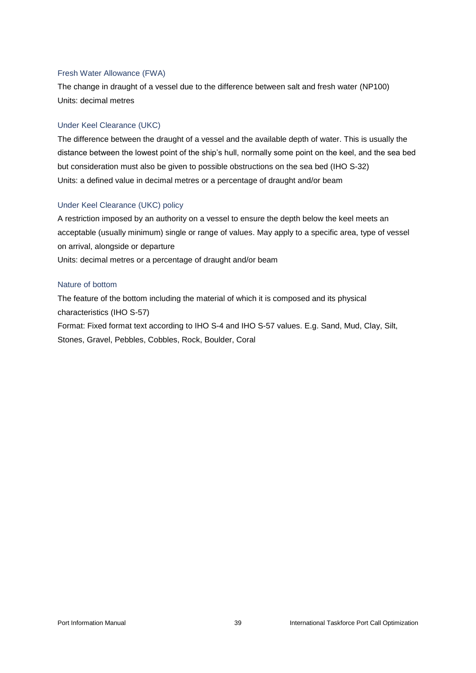#### <span id="page-38-0"></span>Fresh Water Allowance (FWA)

The change in draught of a vessel due to the difference between salt and fresh water (NP100) Units: decimal metres

#### <span id="page-38-1"></span>Under Keel Clearance (UKC)

The difference between the draught of a vessel and the available depth of water. This is usually the distance between the lowest point of the ship's hull, normally some point on the keel, and the sea bed but consideration must also be given to possible obstructions on the sea bed (IHO S-32) Units: a defined value in decimal metres or a percentage of draught and/or beam

#### <span id="page-38-2"></span>Under Keel Clearance (UKC) policy

A restriction imposed by an authority on a vessel to ensure the depth below the keel meets an acceptable (usually minimum) single or range of values. May apply to a specific area, type of vessel on arrival, alongside or departure Units: decimal metres or a percentage of draught and/or beam

#### <span id="page-38-3"></span>Nature of bottom

The feature of the bottom including the material of which it is composed and its physical characteristics (IHO S-57) Format: Fixed format text according to IHO S-4 and IHO S-57 values. E.g. Sand, Mud, Clay, Silt,

Stones, Gravel, Pebbles, Cobbles, Rock, Boulder, Coral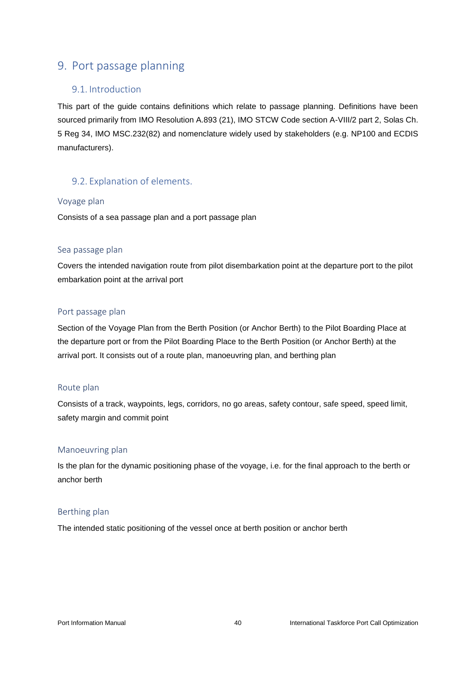# <span id="page-39-0"></span>9. Port passage planning

## <span id="page-39-1"></span>9.1. Introduction

This part of the guide contains definitions which relate to passage planning. Definitions have been sourced primarily from IMO Resolution A.893 (21), IMO STCW Code section A-VIII/2 part 2, Solas Ch. 5 Reg 34, IMO MSC.232(82) and nomenclature widely used by stakeholders (e.g. NP100 and ECDIS manufacturers).

# <span id="page-39-2"></span>9.2. Explanation of elements.

#### <span id="page-39-3"></span>Voyage plan

Consists of a sea passage plan and a port passage plan

#### <span id="page-39-4"></span>Sea passage plan

Covers the intended navigation route from pilot disembarkation point at the departure port to the pilot embarkation point at the arrival port

#### <span id="page-39-5"></span>Port passage plan

Section of the Voyage Plan from the Berth Position (or Anchor Berth) to the Pilot Boarding Place at the departure port or from the Pilot Boarding Place to the Berth Position (or Anchor Berth) at the arrival port. It consists out of a route plan, manoeuvring plan, and berthing plan

#### <span id="page-39-6"></span>Route plan

Consists of a track, waypoints, legs, corridors, no go areas, safety contour, safe speed, speed limit, safety margin and commit point

#### <span id="page-39-7"></span>Manoeuvring plan

Is the plan for the dynamic positioning phase of the voyage, i.e. for the final approach to the berth or anchor berth

### <span id="page-39-8"></span>Berthing plan

The intended static positioning of the vessel once at berth position or anchor berth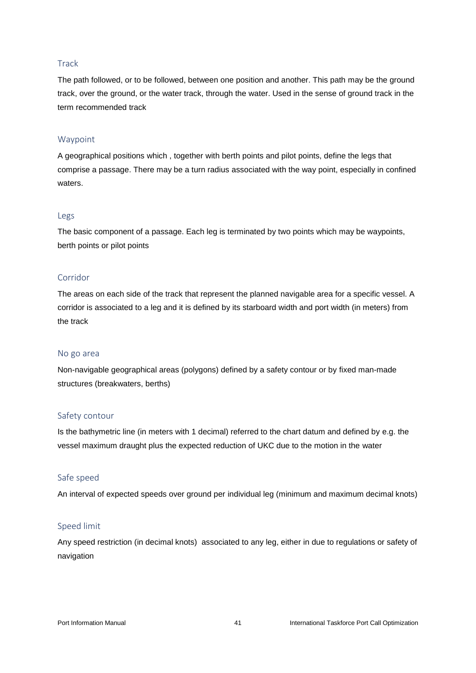#### <span id="page-40-0"></span>**Track**

The path followed, or to be followed, between one position and another. This path may be the ground track, over the ground, or the water track, through the water. Used in the sense of ground track in the term recommended track

#### <span id="page-40-1"></span>Waypoint

A geographical positions which , together with berth points and pilot points, define the legs that comprise a passage. There may be a turn radius associated with the way point, especially in confined waters.

#### <span id="page-40-2"></span>Legs

The basic component of a passage. Each leg is terminated by two points which may be waypoints, berth points or pilot points

#### <span id="page-40-3"></span>Corridor

The areas on each side of the track that represent the planned navigable area for a specific vessel. A corridor is associated to a leg and it is defined by its starboard width and port width (in meters) from the track

#### <span id="page-40-4"></span>No go area

Non-navigable geographical areas (polygons) defined by a safety contour or by fixed man-made structures (breakwaters, berths)

#### <span id="page-40-5"></span>Safety contour

Is the bathymetric line (in meters with 1 decimal) referred to the chart datum and defined by e.g. the vessel maximum draught plus the expected reduction of UKC due to the motion in the water

#### <span id="page-40-6"></span>Safe speed

An interval of expected speeds over ground per individual leg (minimum and maximum decimal knots)

#### <span id="page-40-7"></span>Speed limit

Any speed restriction (in decimal knots) associated to any leg, either in due to regulations or safety of navigation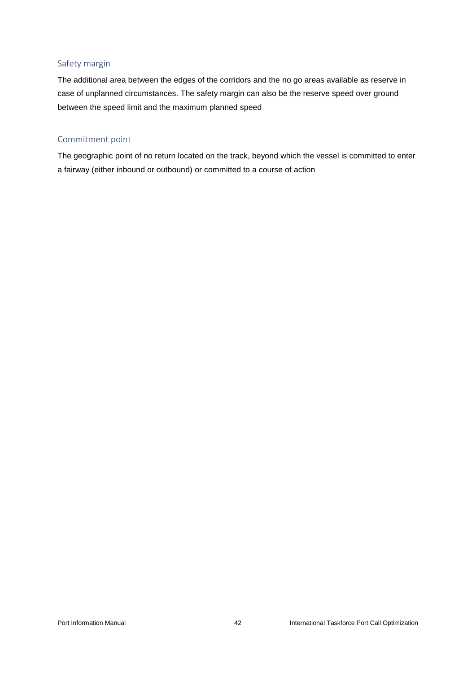#### <span id="page-41-0"></span>Safety margin

The additional area between the edges of the corridors and the no go areas available as reserve in case of unplanned circumstances. The safety margin can also be the reserve speed over ground between the speed limit and the maximum planned speed

#### <span id="page-41-1"></span>Commitment point

The geographic point of no return located on the track, beyond which the vessel is committed to enter a fairway (either inbound or outbound) or committed to a course of action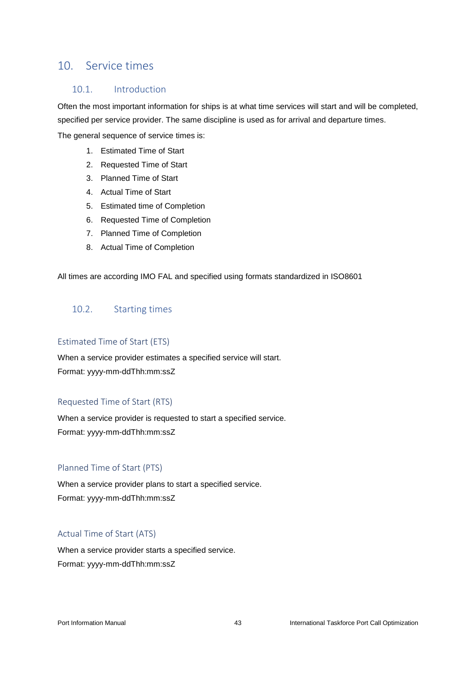# <span id="page-42-0"></span>10. Service times

## <span id="page-42-1"></span>10.1. Introduction

Often the most important information for ships is at what time services will start and will be completed, specified per service provider. The same discipline is used as for arrival and departure times.

The general sequence of service times is:

- 1. Estimated Time of Start
- 2. Requested Time of Start
- 3. Planned Time of Start
- 4. Actual Time of Start
- 5. Estimated time of Completion
- 6. Requested Time of Completion
- 7. Planned Time of Completion
- 8. Actual Time of Completion

All times are according IMO FAL and specified using formats standardized in ISO8601

# <span id="page-42-2"></span>10.2. Starting times

#### <span id="page-42-3"></span>Estimated Time of Start (ETS)

When a service provider estimates a specified service will start. Format: yyyy-mm-ddThh:mm:ssZ

#### <span id="page-42-4"></span>Requested Time of Start (RTS)

When a service provider is requested to start a specified service. Format: yyyy-mm-ddThh:mm:ssZ

#### <span id="page-42-5"></span>Planned Time of Start (PTS)

When a service provider plans to start a specified service. Format: yyyy-mm-ddThh:mm:ssZ

#### <span id="page-42-6"></span>Actual Time of Start (ATS)

When a service provider starts a specified service. Format: yyyy-mm-ddThh:mm:ssZ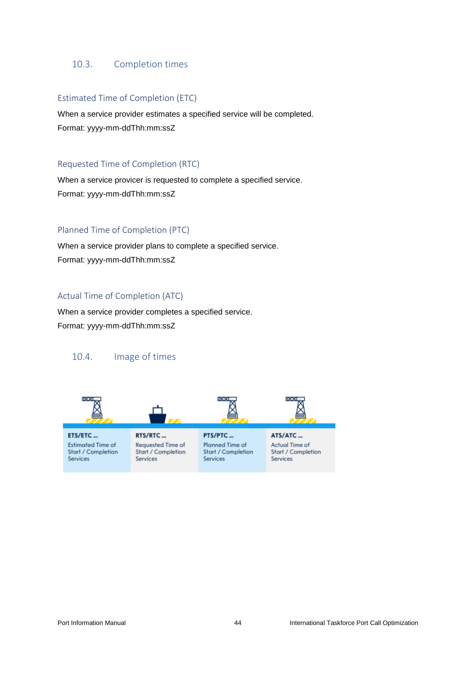#### <span id="page-43-0"></span>10.3. Completion times

#### <span id="page-43-1"></span>Estimated Time of Completion (ETC)

When a service provider estimates a specified service will be completed. Format: yyyy-mm-ddThh:mm:ssZ

#### <span id="page-43-2"></span>Requested Time of Completion (RTC)

When a service provicer is requested to complete a specified service. Format: yyyy-mm-ddThh:mm:ssZ

#### <span id="page-43-3"></span>Planned Time of Completion (PTC)

When a service provider plans to complete a specified service. Format: yyyy-mm-ddThh:mm:ssZ

#### <span id="page-43-4"></span>Actual Time of Completion (ATC)

When a service provider completes a specified service. Format: yyyy-mm-ddThh:mm:ssZ

## <span id="page-43-5"></span>10.4. Image of times

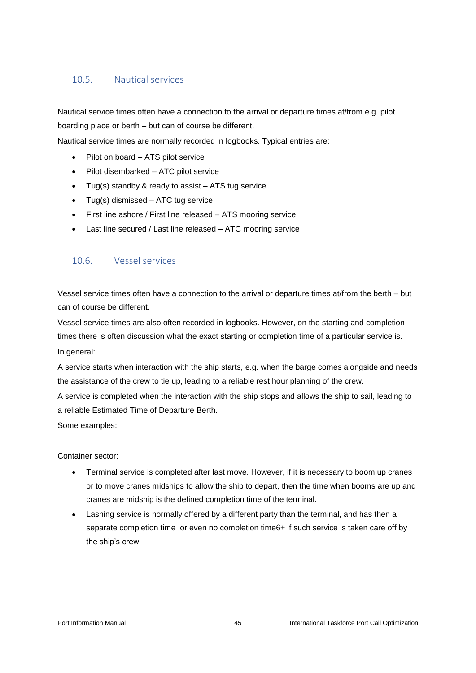## <span id="page-44-0"></span>10.5. Nautical services

Nautical service times often have a connection to the arrival or departure times at/from e.g. pilot boarding place or berth – but can of course be different.

Nautical service times are normally recorded in logbooks. Typical entries are:

- Pilot on board ATS pilot service
- Pilot disembarked ATC pilot service
- Tug(s) standby & ready to assist ATS tug service
- Tug(s) dismissed ATC tug service
- First line ashore / First line released ATS mooring service
- Last line secured / Last line released ATC mooring service

# <span id="page-44-1"></span>10.6. Vessel services

Vessel service times often have a connection to the arrival or departure times at/from the berth – but can of course be different.

Vessel service times are also often recorded in logbooks. However, on the starting and completion times there is often discussion what the exact starting or completion time of a particular service is. In general:

A service starts when interaction with the ship starts, e.g. when the barge comes alongside and needs the assistance of the crew to tie up, leading to a reliable rest hour planning of the crew.

A service is completed when the interaction with the ship stops and allows the ship to sail, leading to a reliable Estimated Time of Departure Berth.

Some examples:

Container sector:

- Terminal service is completed after last move. However, if it is necessary to boom up cranes or to move cranes midships to allow the ship to depart, then the time when booms are up and cranes are midship is the defined completion time of the terminal.
- Lashing service is normally offered by a different party than the terminal, and has then a separate completion time or even no completion time6+ if such service is taken care off by the ship's crew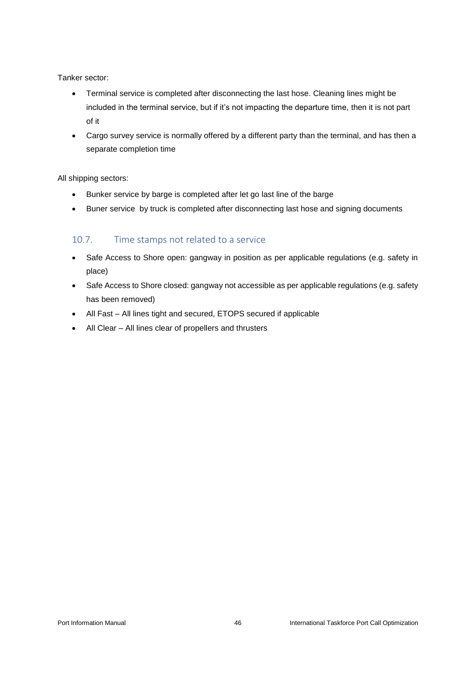Tanker sector:

- Terminal service is completed after disconnecting the last hose. Cleaning lines might be included in the terminal service, but if it's not impacting the departure time, then it is not part of it
- Cargo survey service is normally offered by a different party than the terminal, and has then a separate completion time

All shipping sectors:

- Bunker service by barge is completed after let go last line of the barge
- Buner service by truck is completed after disconnecting last hose and signing documents

# <span id="page-45-0"></span>10.7. Time stamps not related to a service

- Safe Access to Shore open: gangway in position as per applicable regulations (e.g. safety in place)
- Safe Access to Shore closed: gangway not accessible as per applicable regulations (e.g. safety has been removed)
- All Fast All lines tight and secured, ETOPS secured if applicable
- All Clear All lines clear of propellers and thrusters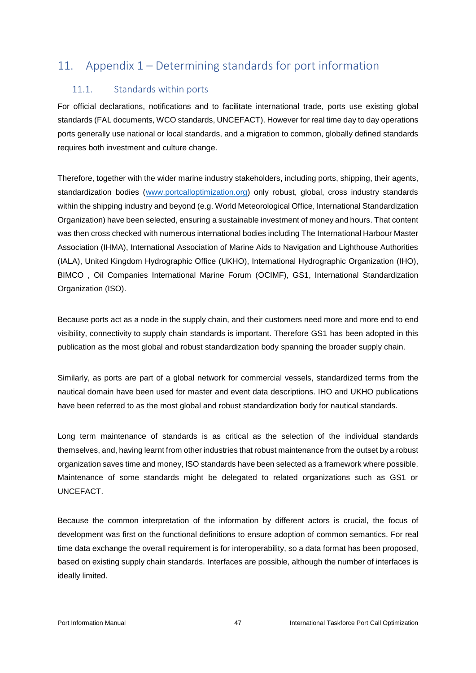# <span id="page-46-0"></span>11. Appendix 1 – Determining standards for port information

# <span id="page-46-1"></span>11.1. Standards within ports

For official declarations, notifications and to facilitate international trade, ports use existing global standards (FAL documents, WCO standards, UNCEFACT). However for real time day to day operations ports generally use national or local standards, and a migration to common, globally defined standards requires both investment and culture change.

Therefore, together with the wider marine industry stakeholders, including ports, shipping, their agents, standardization bodies [\(www.portcalloptimization.org\)](http://www.portcalloptimization.org/) only robust, global, cross industry standards within the shipping industry and beyond (e.g. World Meteorological Office, International Standardization Organization) have been selected, ensuring a sustainable investment of money and hours. That content was then cross checked with numerous international bodies including The International Harbour Master Association (IHMA), International Association of Marine Aids to Navigation and Lighthouse Authorities (IALA), United Kingdom Hydrographic Office (UKHO), International Hydrographic Organization (IHO), BIMCO , Oil Companies International Marine Forum (OCIMF), GS1, International Standardization Organization (ISO).

Because ports act as a node in the supply chain, and their customers need more and more end to end visibility, connectivity to supply chain standards is important. Therefore GS1 has been adopted in this publication as the most global and robust standardization body spanning the broader supply chain.

Similarly, as ports are part of a global network for commercial vessels, standardized terms from the nautical domain have been used for master and event data descriptions. IHO and UKHO publications have been referred to as the most global and robust standardization body for nautical standards.

Long term maintenance of standards is as critical as the selection of the individual standards themselves, and, having learnt from other industries that robust maintenance from the outset by a robust organization saves time and money, ISO standards have been selected as a framework where possible. Maintenance of some standards might be delegated to related organizations such as GS1 or UNCEFACT.

Because the common interpretation of the information by different actors is crucial, the focus of development was first on the functional definitions to ensure adoption of common semantics. For real time data exchange the overall requirement is for interoperability, so a data format has been proposed, based on existing supply chain standards. Interfaces are possible, although the number of interfaces is ideally limited.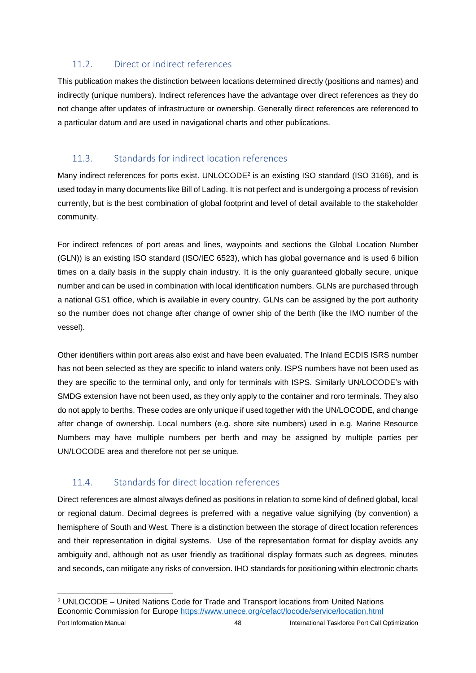# <span id="page-47-0"></span>11.2. Direct or indirect references

This publication makes the distinction between locations determined directly (positions and names) and indirectly (unique numbers). Indirect references have the advantage over direct references as they do not change after updates of infrastructure or ownership. Generally direct references are referenced to a particular datum and are used in navigational charts and other publications.

# <span id="page-47-1"></span>11.3. Standards for indirect location references

Many indirect references for ports exist. UNLOCODE<sup>2</sup> is an existing ISO standard (ISO 3166), and is used today in many documents like Bill of Lading. It is not perfect and is undergoing a process of revision currently, but is the best combination of global footprint and level of detail available to the stakeholder community.

For indirect refences of port areas and lines, waypoints and sections the Global Location Number (GLN)) is an existing ISO standard (ISO/IEC 6523), which has global governance and is used 6 billion times on a daily basis in the supply chain industry. It is the only guaranteed globally secure, unique number and can be used in combination with local identification numbers. GLNs are purchased through a national GS1 office, which is available in every country. GLNs can be assigned by the port authority so the number does not change after change of owner ship of the berth (like the IMO number of the vessel).

Other identifiers within port areas also exist and have been evaluated. The Inland ECDIS ISRS number has not been selected as they are specific to inland waters only. ISPS numbers have not been used as they are specific to the terminal only, and only for terminals with ISPS. Similarly UN/LOCODE's with SMDG extension have not been used, as they only apply to the container and roro terminals. They also do not apply to berths. These codes are only unique if used together with the UN/LOCODE, and change after change of ownership. Local numbers (e.g. shore site numbers) used in e.g. Marine Resource Numbers may have multiple numbers per berth and may be assigned by multiple parties per UN/LOCODE area and therefore not per se unique.

# <span id="page-47-2"></span>11.4. Standards for direct location references

Direct references are almost always defined as positions in relation to some kind of defined global, local or regional datum. Decimal degrees is preferred with a negative value signifying (by convention) a hemisphere of South and West. There is a distinction between the storage of direct location references and their representation in digital systems. Use of the representation format for display avoids any ambiguity and, although not as user friendly as traditional display formats such as degrees, minutes and seconds, can mitigate any risks of conversion. IHO standards for positioning within electronic charts

Port Information Manual 48 International Taskforce Port Call Optimization -<sup>2</sup> UNLOCODE – United Nations Code for Trade and Transport locations from United Nations Economic Commission for Europe <https://www.unece.org/cefact/locode/service/location.html>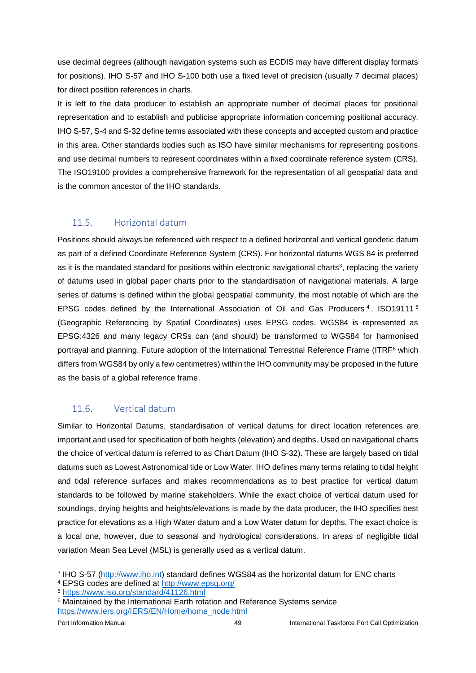use decimal degrees (although navigation systems such as ECDIS may have different display formats for positions). IHO S-57 and IHO S-100 both use a fixed level of precision (usually 7 decimal places) for direct position references in charts.

It is left to the data producer to establish an appropriate number of decimal places for positional representation and to establish and publicise appropriate information concerning positional accuracy. IHO S-57, S-4 and S-32 define terms associated with these concepts and accepted custom and practice in this area. Other standards bodies such as ISO have similar mechanisms for representing positions and use decimal numbers to represent coordinates within a fixed coordinate reference system (CRS). The ISO19100 provides a comprehensive framework for the representation of all geospatial data and is the common ancestor of the IHO standards.

# <span id="page-48-0"></span>11.5. Horizontal datum

Positions should always be referenced with respect to a defined horizontal and vertical geodetic datum as part of a defined Coordinate Reference System (CRS). For horizontal datums WGS 84 is preferred as it is the mandated standard for positions within electronic navigational charts<sup>3</sup>, replacing the variety of datums used in global paper charts prior to the standardisation of navigational materials. A large series of datums is defined within the global geospatial community, the most notable of which are the EPSG codes defined by the International Association of Oil and Gas Producers<sup>4</sup>. ISO19111<sup>5</sup> (Geographic Referencing by Spatial Coordinates) uses EPSG codes. WGS84 is represented as EPSG:4326 and many legacy CRSs can (and should) be transformed to WGS84 for harmonised portrayal and planning. Future adoption of the International Terrestrial Reference Frame (ITRF<sup>6</sup> which differs from WGS84 by only a few centimetres) within the IHO community may be proposed in the future as the basis of a global reference frame.

# <span id="page-48-1"></span>11.6. Vertical datum

Similar to Horizontal Datums, standardisation of vertical datums for direct location references are important and used for specification of both heights (elevation) and depths. Used on navigational charts the choice of vertical datum is referred to as Chart Datum (IHO S-32). These are largely based on tidal datums such as Lowest Astronomical tide or Low Water. IHO defines many terms relating to tidal height and tidal reference surfaces and makes recommendations as to best practice for vertical datum standards to be followed by marine stakeholders. While the exact choice of vertical datum used for soundings, drying heights and heights/elevations is made by the data producer, the IHO specifies best practice for elevations as a High Water datum and a Low Water datum for depths. The exact choice is a local one, however, due to seasonal and hydrological considerations. In areas of negligible tidal variation Mean Sea Level (MSL) is generally used as a vertical datum.

<sup>4</sup> EPSG codes are defined at<http://www.epsg.org/>

<sup>5</sup> <https://www.iso.org/standard/41126.html>

1

<sup>&</sup>lt;sup>3</sup> IHO S-57 [\(http://www.iho.int\)](http://www.iho.int/) standard defines WGS84 as the horizontal datum for ENC charts

<sup>&</sup>lt;sup>6</sup> Maintained by the International Earth rotation and Reference Systems service [https://www.iers.org/IERS/EN/Home/home\\_node.html](https://www.iers.org/IERS/EN/Home/home_node.html)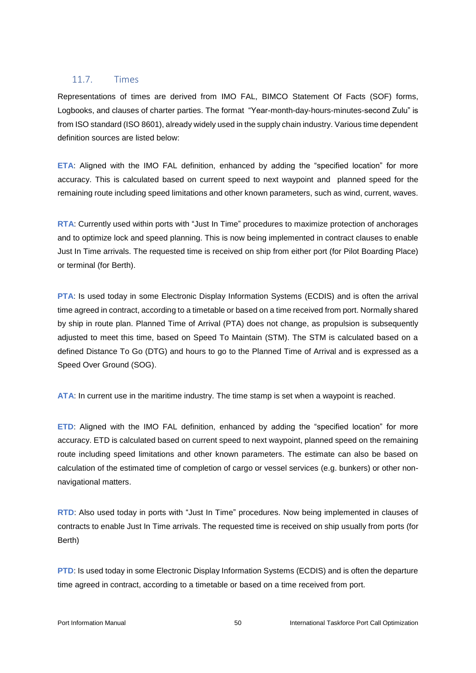#### <span id="page-49-0"></span>11.7. Times

Representations of times are derived from IMO FAL, BIMCO Statement Of Facts (SOF) forms, Logbooks, and clauses of charter parties. The format "Year-month-day-hours-minutes-second Zulu" is from ISO standard (ISO 8601), already widely used in the supply chain industry. Various time dependent definition sources are listed below:

**ETA**: Aligned with the IMO FAL definition, enhanced by adding the "specified location" for more accuracy. This is calculated based on current speed to next waypoint and planned speed for the remaining route including speed limitations and other known parameters, such as wind, current, waves.

**RTA**: Currently used within ports with "Just In Time" procedures to maximize protection of anchorages and to optimize lock and speed planning. This is now being implemented in contract clauses to enable Just In Time arrivals. The requested time is received on ship from either port (for Pilot Boarding Place) or terminal (for Berth).

**PTA:** Is used today in some Electronic Display Information Systems (ECDIS) and is often the arrival time agreed in contract, according to a timetable or based on a time received from port. Normally shared by ship in route plan. Planned Time of Arrival (PTA) does not change, as propulsion is subsequently adjusted to meet this time, based on Speed To Maintain (STM). The STM is calculated based on a defined Distance To Go (DTG) and hours to go to the Planned Time of Arrival and is expressed as a Speed Over Ground (SOG).

**ATA**: In current use in the maritime industry. The time stamp is set when a waypoint is reached.

**ETD**: Aligned with the IMO FAL definition, enhanced by adding the "specified location" for more accuracy. ETD is calculated based on current speed to next waypoint, planned speed on the remaining route including speed limitations and other known parameters. The estimate can also be based on calculation of the estimated time of completion of cargo or vessel services (e.g. bunkers) or other nonnavigational matters.

**RTD**: Also used today in ports with "Just In Time" procedures. Now being implemented in clauses of contracts to enable Just In Time arrivals. The requested time is received on ship usually from ports (for Berth)

**PTD**: Is used today in some Electronic Display Information Systems (ECDIS) and is often the departure time agreed in contract, according to a timetable or based on a time received from port.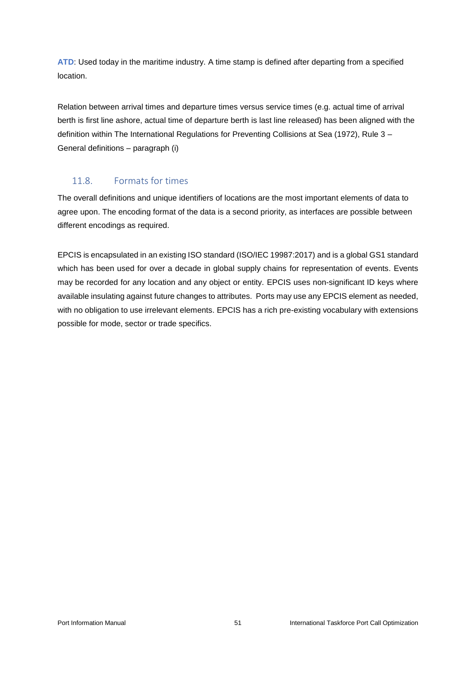**ATD**: Used today in the maritime industry. A time stamp is defined after departing from a specified location.

Relation between arrival times and departure times versus service times (e.g. actual time of arrival berth is first line ashore, actual time of departure berth is last line released) has been aligned with the definition within The International Regulations for Preventing Collisions at Sea (1972), Rule 3 – General definitions – paragraph (i)

# <span id="page-50-0"></span>11.8. Formats for times

The overall definitions and unique identifiers of locations are the most important elements of data to agree upon. The encoding format of the data is a second priority, as interfaces are possible between different encodings as required.

EPCIS is encapsulated in an existing ISO standard (ISO/IEC 19987:2017) and is a global GS1 standard which has been used for over a decade in global supply chains for representation of events. Events may be recorded for any location and any object or entity. EPCIS uses non-significant ID keys where available insulating against future changes to attributes. Ports may use any EPCIS element as needed, with no obligation to use irrelevant elements. EPCIS has a rich pre-existing vocabulary with extensions possible for mode, sector or trade specifics.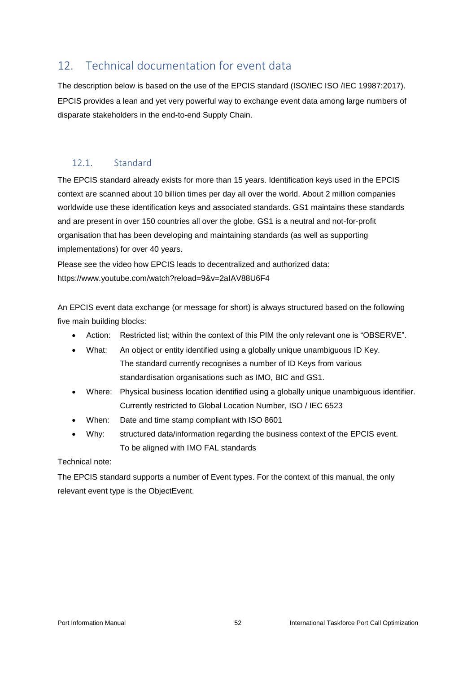# <span id="page-51-0"></span>12. Technical documentation for event data

The description below is based on the use of the EPCIS standard (ISO/IEC ISO /IEC 19987:2017). EPCIS provides a lean and yet very powerful way to exchange event data among large numbers of disparate stakeholders in the end-to-end Supply Chain.

# <span id="page-51-1"></span>12.1. Standard

[The EPCIS standard](https://www.gs1.org/standards/epcis) already exists for more than 15 years. Identification keys used in the EPCIS context are scanned about 10 billion times per day all over the world. About 2 million companies worldwide use these identification keys and associated standards. GS1 maintains these standards and are present in over 150 countries all over the globe. GS1 is a neutral and not-for-profit organisation that has been developing and maintaining standards (as well as supporting implementations) for over 40 years.

Please see the video how EPCIS leads to decentralized and authorized data: <https://www.youtube.com/watch?reload=9&v=2aIAV88U6F4>

An EPCIS event data exchange (or message for short) is always structured based on the following five main building blocks:

- Action: Restricted list; within the context of this PIM the only relevant one is "OBSERVE".
- What: An object or entity identified using a globally unique unambiguous ID Key. The standard currently recognises a number of ID Keys from various standardisation organisations such as IMO, BIC and GS1.
- Where: Physical business location identified using a globally unique unambiguous identifier. Currently restricted to Global Location Number, ISO / IEC 6523
- When: Date and time stamp compliant with ISO 8601
- Why: structured data/information regarding the business context of the EPCIS event. To be aligned with IMO FAL standards

Technical note:

The EPCIS standard supports a number of Event types. For the context of this manual, the only relevant event type is the ObjectEvent.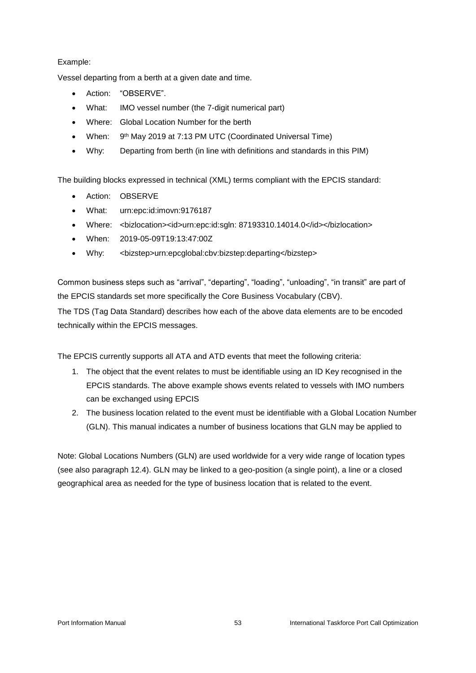#### Example:

Vessel departing from a berth at a given date and time.

- Action: "OBSERVE".
- What: IMO vessel number (the 7-digit numerical part)
- Where: Global Location Number for the berth
- When: 9<sup>th</sup> May 2019 at 7:13 PM [UTC \(Coordinated Universal Time\)](https://en.wikipedia.org/wiki/Coordinated_Universal_Time)
- Why: Departing from berth (in line with definitions and standards in this PIM)

The building blocks expressed in technical (XML) terms compliant with the EPCIS standard:

- Action: OBSERVE
- What: urn:epc:id:imovn:9176187
- Where: <bizlocation><id>urn:epc:id:sgln: 87193310.14014.0</id></bizlocation>
- When: 2019-05-09T19:13:47:00Z
- Why: <bizstep>urn:epcglobal:cbv:bizstep:departing</bizstep>

Common business steps such as "arrival", "departing", "loading", "unloading", "in transit" are part of the EPCIS standards set more specifically the [Core Business Vocabulary \(CBV\).](https://www.gs1.org/sites/default/files/docs/epc/CBV-Standard-1-2-2-r-2017-10-12.pdf)

The [TDS \(Tag Data Standard\)](https://www.gs1.org/standards/epc-rfid/tds) describes how each of the above data elements are to be encoded technically within the EPCIS messages.

The EPCIS currently supports all ATA and ATD events that meet the following criteria:

- 1. The object that the event relates to must be identifiable using an ID Key recognised in the EPCIS standards. The above example shows events related to vessels with IMO numbers can be exchanged using EPCIS
- 2. The business location related to the event must be identifiable with a Global Location Number (GLN). This manual indicates a number of business locations that GLN may be applied to

Note: Global Locations Numbers (GLN) are used worldwide for a very wide range of location types (see also paragraph 12.4). GLN may be linked to a geo-position (a single point), a line or a closed geographical area as needed for the type of business location that is related to the event.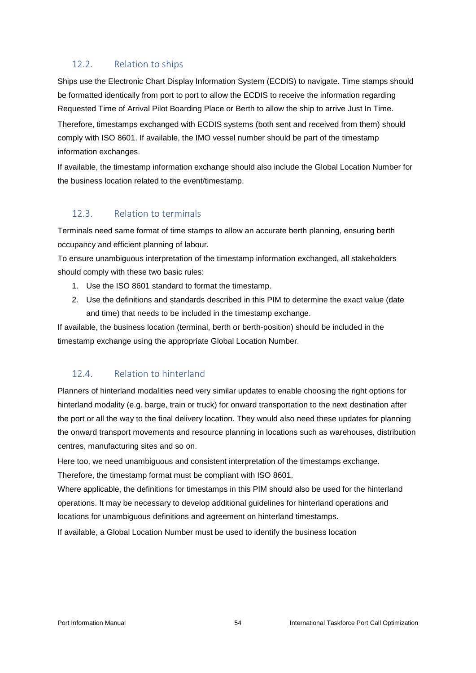# <span id="page-53-0"></span>12.2. Relation to ships

Ships use the Electronic Chart Display Information System (ECDIS) to navigate. Time stamps should be formatted identically from port to port to allow the ECDIS to receive the information regarding Requested Time of Arrival Pilot Boarding Place or Berth to allow the ship to arrive Just In Time. Therefore, timestamps exchanged with ECDIS systems (both sent and received from them) should comply with ISO 8601. If available, the IMO vessel number should be part of the timestamp

information exchanges.

If available, the timestamp information exchange should also include the Global Location Number for the business location related to the event/timestamp.

# <span id="page-53-1"></span>12.3. Relation to terminals

Terminals need same format of time stamps to allow an accurate berth planning, ensuring berth occupancy and efficient planning of labour.

To ensure unambiguous interpretation of the timestamp information exchanged, all stakeholders should comply with these two basic rules:

- 1. Use the ISO 8601 standard to format the timestamp.
- 2. Use the definitions and standards described in this PIM to determine the exact value (date and time) that needs to be included in the timestamp exchange.

If available, the business location (terminal, berth or berth-position) should be included in the timestamp exchange using the appropriate Global Location Number.

# <span id="page-53-2"></span>12.4. Relation to hinterland

Planners of hinterland modalities need very similar updates to enable choosing the right options for hinterland modality (e.g. barge, train or truck) for onward transportation to the next destination after the port or all the way to the final delivery location. They would also need these updates for planning the onward transport movements and resource planning in locations such as warehouses, distribution centres, manufacturing sites and so on.

Here too, we need unambiguous and consistent interpretation of the timestamps exchange. Therefore, the timestamp format must be compliant with ISO 8601.

Where applicable, the definitions for timestamps in this PIM should also be used for the hinterland operations. It may be necessary to develop additional guidelines for hinterland operations and locations for unambiguous definitions and agreement on hinterland timestamps.

If available, a Global Location Number must be used to identify the business location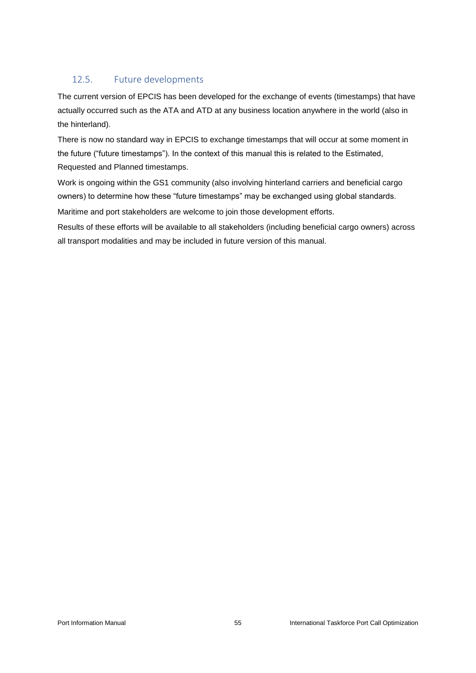# <span id="page-54-0"></span>12.5. Future developments

The current version of EPCIS has been developed for the exchange of events (timestamps) that have actually occurred such as the ATA and ATD at any business location anywhere in the world (also in the hinterland).

There is now no standard way in EPCIS to exchange timestamps that will occur at some moment in the future ("future timestamps"). In the context of this manual this is related to the Estimated, Requested and Planned timestamps.

Work is ongoing within the GS1 community (also involving hinterland carriers and beneficial cargo owners) to determine how these "future timestamps" may be exchanged using global standards.

Maritime and port stakeholders are welcome to join those development efforts.

Results of these efforts will be available to all stakeholders (including beneficial cargo owners) across all transport modalities and may be included in future version of this manual.